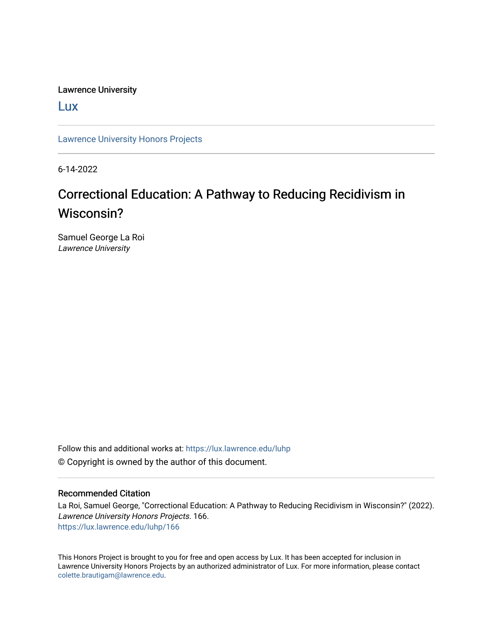Lawrence University

[Lux](https://lux.lawrence.edu/)

[Lawrence University Honors Projects](https://lux.lawrence.edu/luhp)

6-14-2022

## Correctional Education: A Pathway to Reducing Recidivism in Wisconsin?

Samuel George La Roi Lawrence University

Follow this and additional works at: [https://lux.lawrence.edu/luhp](https://lux.lawrence.edu/luhp?utm_source=lux.lawrence.edu%2Fluhp%2F166&utm_medium=PDF&utm_campaign=PDFCoverPages) © Copyright is owned by the author of this document.

#### Recommended Citation

La Roi, Samuel George, "Correctional Education: A Pathway to Reducing Recidivism in Wisconsin?" (2022). Lawrence University Honors Projects. 166. [https://lux.lawrence.edu/luhp/166](https://lux.lawrence.edu/luhp/166?utm_source=lux.lawrence.edu%2Fluhp%2F166&utm_medium=PDF&utm_campaign=PDFCoverPages)

This Honors Project is brought to you for free and open access by Lux. It has been accepted for inclusion in Lawrence University Honors Projects by an authorized administrator of Lux. For more information, please contact [colette.brautigam@lawrence.edu.](mailto:colette.brautigam@lawrence.edu)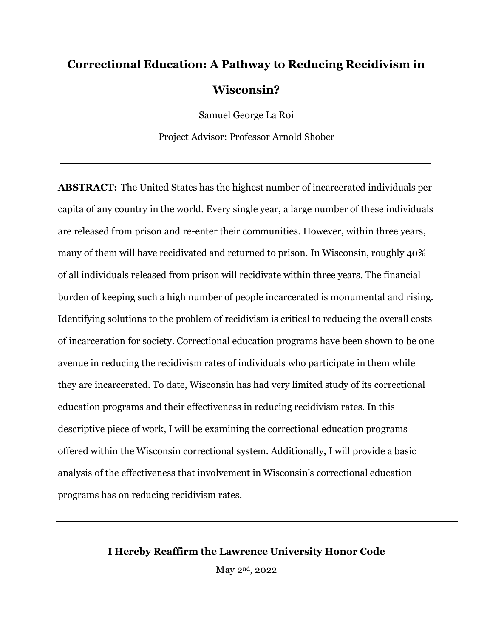# **Correctional Education: A Pathway to Reducing Recidivism in Wisconsin?**

Samuel George La Roi Project Advisor: Professor Arnold Shober

**ABSTRACT:** The United States has the highest number of incarcerated individuals per capita of any country in the world. Every single year, a large number of these individuals are released from prison and re-enter their communities. However, within three years, many of them will have recidivated and returned to prison. In Wisconsin, roughly 40% of all individuals released from prison will recidivate within three years. The financial burden of keeping such a high number of people incarcerated is monumental and rising. Identifying solutions to the problem of recidivism is critical to reducing the overall costs of incarceration for society. Correctional education programs have been shown to be one avenue in reducing the recidivism rates of individuals who participate in them while they are incarcerated. To date, Wisconsin has had very limited study of its correctional education programs and their effectiveness in reducing recidivism rates. In this descriptive piece of work, I will be examining the correctional education programs offered within the Wisconsin correctional system. Additionally, I will provide a basic analysis of the effectiveness that involvement in Wisconsin's correctional education programs has on reducing recidivism rates.

### **I Hereby Reaffirm the Lawrence University Honor Code**

May 2nd, 2022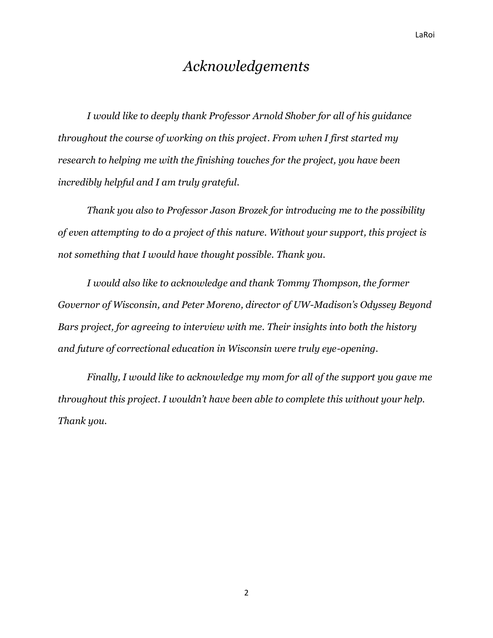## *Acknowledgements*

*I would like to deeply thank Professor Arnold Shober for all of his guidance throughout the course of working on this project. From when I first started my research to helping me with the finishing touches for the project, you have been incredibly helpful and I am truly grateful.* 

*Thank you also to Professor Jason Brozek for introducing me to the possibility of even attempting to do a project of this nature. Without your support, this project is not something that I would have thought possible. Thank you.*

*I would also like to acknowledge and thank Tommy Thompson, the former Governor of Wisconsin, and Peter Moreno, director of UW-Madison's Odyssey Beyond Bars project, for agreeing to interview with me. Their insights into both the history and future of correctional education in Wisconsin were truly eye-opening.* 

*Finally, I would like to acknowledge my mom for all of the support you gave me throughout this project. I wouldn't have been able to complete this without your help. Thank you.*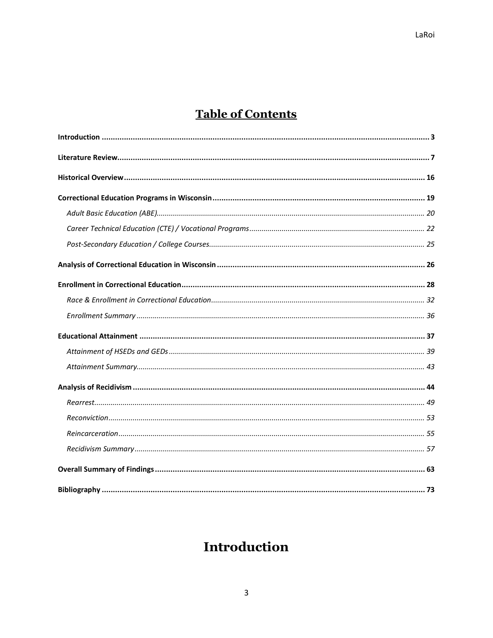## **Table of Contents**

## <span id="page-3-0"></span>Introduction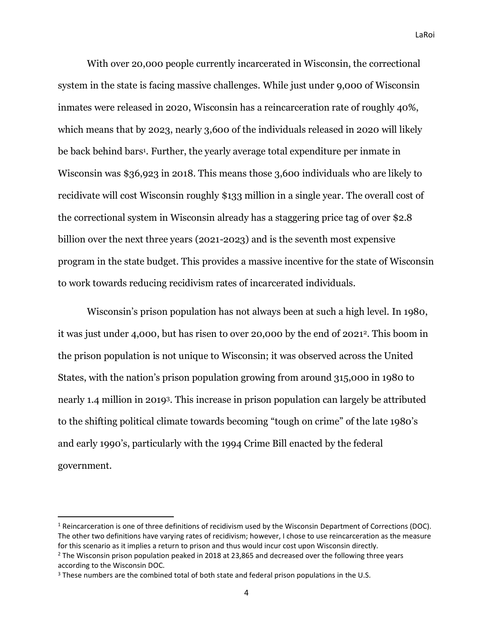With over 20,000 people currently incarcerated in Wisconsin, the correctional system in the state is facing massive challenges. While just under 9,000 of Wisconsin inmates were released in 2020, Wisconsin has a reincarceration rate of roughly 40%, which means that by 2023, nearly 3,600 of the individuals released in 2020 will likely be back behind bars<sup>1</sup> . Further, the yearly average total expenditure per inmate in Wisconsin was \$36,923 in 2018. This means those 3,600 individuals who are likely to recidivate will cost Wisconsin roughly \$133 million in a single year. The overall cost of the correctional system in Wisconsin already has a staggering price tag of over \$2.8 billion over the next three years (2021-2023) and is the seventh most expensive program in the state budget. This provides a massive incentive for the state of Wisconsin to work towards reducing recidivism rates of incarcerated individuals.

Wisconsin's prison population has not always been at such a high level. In 1980, it was just under 4,000, but has risen to over 20,000 by the end of 20212. This boom in the prison population is not unique to Wisconsin; it was observed across the United States, with the nation's prison population growing from around 315,000 in 1980 to nearly 1.4 million in 20193. This increase in prison population can largely be attributed to the shifting political climate towards becoming "tough on crime" of the late 1980's and early 1990's, particularly with the 1994 Crime Bill enacted by the federal government.

 $1$  Reincarceration is one of three definitions of recidivism used by the Wisconsin Department of Corrections (DOC). The other two definitions have varying rates of recidivism; however, I chose to use reincarceration as the measure for this scenario as it implies a return to prison and thus would incur cost upon Wisconsin directly.  $2$  The Wisconsin prison population peaked in 2018 at 23,865 and decreased over the following three years according to the Wisconsin DOC.

<sup>&</sup>lt;sup>3</sup> These numbers are the combined total of both state and federal prison populations in the U.S.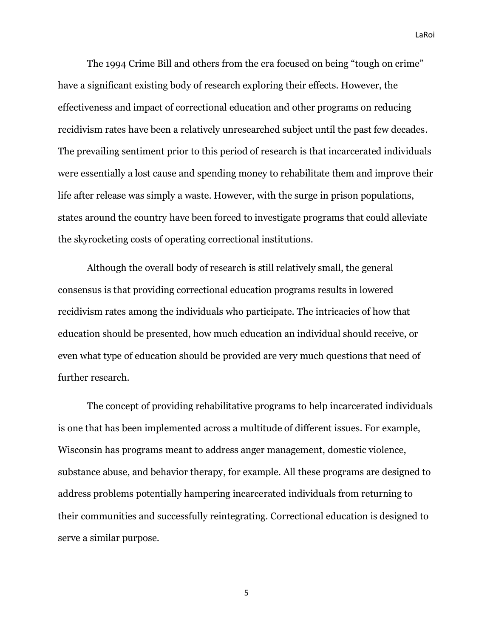The 1994 Crime Bill and others from the era focused on being "tough on crime" have a significant existing body of research exploring their effects. However, the effectiveness and impact of correctional education and other programs on reducing recidivism rates have been a relatively unresearched subject until the past few decades. The prevailing sentiment prior to this period of research is that incarcerated individuals were essentially a lost cause and spending money to rehabilitate them and improve their life after release was simply a waste. However, with the surge in prison populations, states around the country have been forced to investigate programs that could alleviate the skyrocketing costs of operating correctional institutions.

Although the overall body of research is still relatively small, the general consensus is that providing correctional education programs results in lowered recidivism rates among the individuals who participate. The intricacies of how that education should be presented, how much education an individual should receive, or even what type of education should be provided are very much questions that need of further research.

The concept of providing rehabilitative programs to help incarcerated individuals is one that has been implemented across a multitude of different issues. For example, Wisconsin has programs meant to address anger management, domestic violence, substance abuse, and behavior therapy, for example. All these programs are designed to address problems potentially hampering incarcerated individuals from returning to their communities and successfully reintegrating. Correctional education is designed to serve a similar purpose.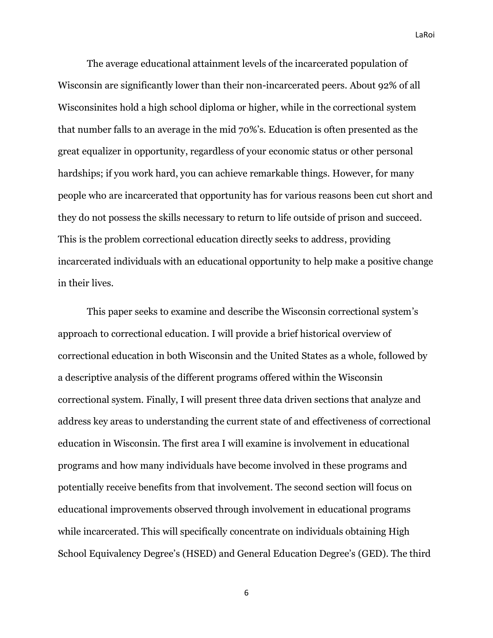The average educational attainment levels of the incarcerated population of Wisconsin are significantly lower than their non-incarcerated peers. About 92% of all Wisconsinites hold a high school diploma or higher, while in the correctional system that number falls to an average in the mid 70%'s. Education is often presented as the great equalizer in opportunity, regardless of your economic status or other personal hardships; if you work hard, you can achieve remarkable things. However, for many people who are incarcerated that opportunity has for various reasons been cut short and they do not possess the skills necessary to return to life outside of prison and succeed. This is the problem correctional education directly seeks to address, providing incarcerated individuals with an educational opportunity to help make a positive change in their lives.

This paper seeks to examine and describe the Wisconsin correctional system's approach to correctional education. I will provide a brief historical overview of correctional education in both Wisconsin and the United States as a whole, followed by a descriptive analysis of the different programs offered within the Wisconsin correctional system. Finally, I will present three data driven sections that analyze and address key areas to understanding the current state of and effectiveness of correctional education in Wisconsin. The first area I will examine is involvement in educational programs and how many individuals have become involved in these programs and potentially receive benefits from that involvement. The second section will focus on educational improvements observed through involvement in educational programs while incarcerated. This will specifically concentrate on individuals obtaining High School Equivalency Degree's (HSED) and General Education Degree's (GED). The third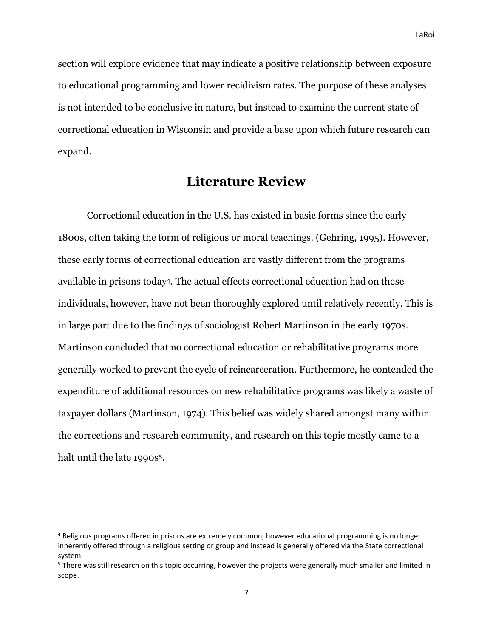section will explore evidence that may indicate a positive relationship between exposure to educational programming and lower recidivism rates. The purpose of these analyses is not intended to be conclusive in nature, but instead to examine the current state of correctional education in Wisconsin and provide a base upon which future research can expand.

### **Literature Review**

<span id="page-7-0"></span>Correctional education in the U.S. has existed in basic forms since the early 1800s, often taking the form of religious or moral teachings. (Gehring, 1995). However, these early forms of correctional education are vastly different from the programs available in prisons today4. The actual effects correctional education had on these individuals, however, have not been thoroughly explored until relatively recently. This is in large part due to the findings of sociologist Robert Martinson in the early 1970s. Martinson concluded that no correctional education or rehabilitative programs more generally worked to prevent the cycle of reincarceration. Furthermore, he contended the expenditure of additional resources on new rehabilitative programs was likely a waste of taxpayer dollars (Martinson, 1974). This belief was widely shared amongst many within the corrections and research community, and research on this topic mostly came to a halt until the late 1990s<sup>5</sup>.

<sup>4</sup> Religious programs offered in prisons are extremely common, however educational programming is no longer inherently offered through a religious setting or group and instead is generally offered via the State correctional system.

<sup>5</sup> There was still research on this topic occurring, however the projects were generally much smaller and limited In scope.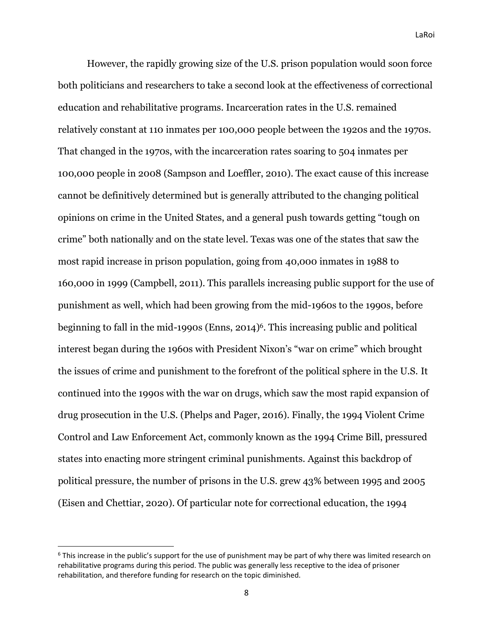However, the rapidly growing size of the U.S. prison population would soon force both politicians and researchers to take a second look at the effectiveness of correctional education and rehabilitative programs. Incarceration rates in the U.S. remained relatively constant at 110 inmates per 100,000 people between the 1920s and the 1970s. That changed in the 1970s, with the incarceration rates soaring to 504 inmates per 100,000 people in 2008 (Sampson and Loeffler, 2010). The exact cause of this increase cannot be definitively determined but is generally attributed to the changing political opinions on crime in the United States, and a general push towards getting "tough on crime" both nationally and on the state level. Texas was one of the states that saw the most rapid increase in prison population, going from 40,000 inmates in 1988 to 160,000 in 1999 (Campbell, 2011). This parallels increasing public support for the use of punishment as well, which had been growing from the mid-1960s to the 1990s, before beginning to fall in the mid-1990s (Enns, 2014)6. This increasing public and political interest began during the 1960s with President Nixon's "war on crime" which brought the issues of crime and punishment to the forefront of the political sphere in the U.S. It continued into the 1990s with the war on drugs, which saw the most rapid expansion of drug prosecution in the U.S. (Phelps and Pager, 2016). Finally, the 1994 Violent Crime Control and Law Enforcement Act, commonly known as the 1994 Crime Bill, pressured states into enacting more stringent criminal punishments. Against this backdrop of political pressure, the number of prisons in the U.S. grew 43% between 1995 and 2005 (Eisen and Chettiar, 2020). Of particular note for correctional education, the 1994

<sup>&</sup>lt;sup>6</sup> This increase in the public's support for the use of punishment may be part of why there was limited research on rehabilitative programs during this period. The public was generally less receptive to the idea of prisoner rehabilitation, and therefore funding for research on the topic diminished.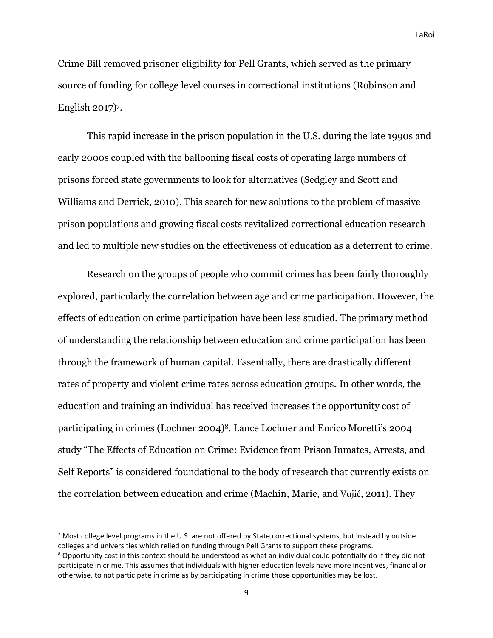Crime Bill removed prisoner eligibility for Pell Grants, which served as the primary source of funding for college level courses in correctional institutions (Robinson and English 2017)7.

This rapid increase in the prison population in the U.S. during the late 1990s and early 2000s coupled with the ballooning fiscal costs of operating large numbers of prisons forced state governments to look for alternatives (Sedgley and Scott and Williams and Derrick, 2010). This search for new solutions to the problem of massive prison populations and growing fiscal costs revitalized correctional education research and led to multiple new studies on the effectiveness of education as a deterrent to crime.

Research on the groups of people who commit crimes has been fairly thoroughly explored, particularly the correlation between age and crime participation. However, the effects of education on crime participation have been less studied. The primary method of understanding the relationship between education and crime participation has been through the framework of human capital. Essentially, there are drastically different rates of property and violent crime rates across education groups. In other words, the education and training an individual has received increases the opportunity cost of participating in crimes (Lochner 2004)8. Lance Lochner and Enrico Moretti's 2004 study "The Effects of Education on Crime: Evidence from Prison Inmates, Arrests, and Self Reports" is considered foundational to the body of research that currently exists on the correlation between education and crime (Machin, Marie, and Vujić, 2011). They

 $7$  Most college level programs in the U.S. are not offered by State correctional systems, but instead by outside colleges and universities which relied on funding through Pell Grants to support these programs.

<sup>8</sup> Opportunity cost in this context should be understood as what an individual could potentially do if they did not participate in crime. This assumes that individuals with higher education levels have more incentives, financial or otherwise, to not participate in crime as by participating in crime those opportunities may be lost.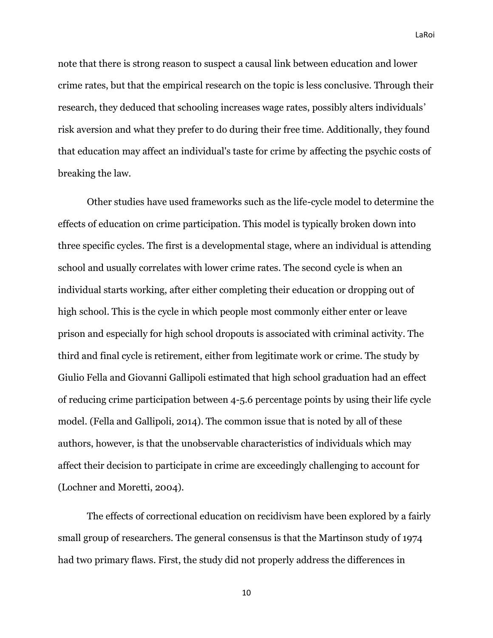note that there is strong reason to suspect a causal link between education and lower crime rates, but that the empirical research on the topic is less conclusive. Through their research, they deduced that schooling increases wage rates, possibly alters individuals' risk aversion and what they prefer to do during their free time. Additionally, they found that education may affect an individual's taste for crime by affecting the psychic costs of breaking the law.

Other studies have used frameworks such as the life-cycle model to determine the effects of education on crime participation. This model is typically broken down into three specific cycles. The first is a developmental stage, where an individual is attending school and usually correlates with lower crime rates. The second cycle is when an individual starts working, after either completing their education or dropping out of high school. This is the cycle in which people most commonly either enter or leave prison and especially for high school dropouts is associated with criminal activity. The third and final cycle is retirement, either from legitimate work or crime. The study by Giulio Fella and Giovanni Gallipoli estimated that high school graduation had an effect of reducing crime participation between 4-5.6 percentage points by using their life cycle model. (Fella and Gallipoli, 2014). The common issue that is noted by all of these authors, however, is that the unobservable characteristics of individuals which may affect their decision to participate in crime are exceedingly challenging to account for (Lochner and Moretti, 2004).

The effects of correctional education on recidivism have been explored by a fairly small group of researchers. The general consensus is that the Martinson study of 1974 had two primary flaws. First, the study did not properly address the differences in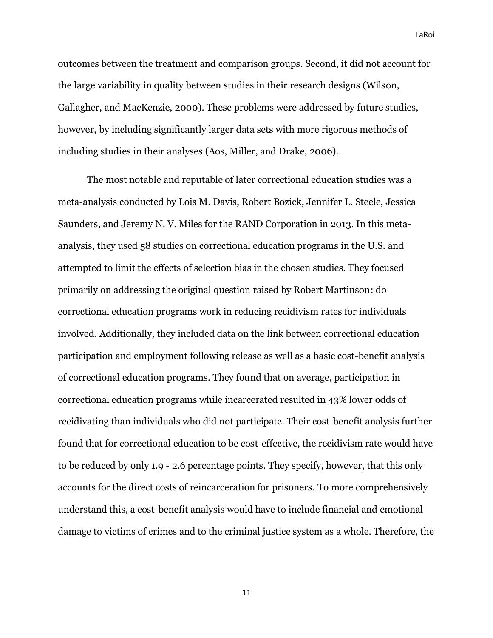outcomes between the treatment and comparison groups. Second, it did not account for the large variability in quality between studies in their research designs (Wilson, Gallagher, and MacKenzie, 2000). These problems were addressed by future studies, however, by including significantly larger data sets with more rigorous methods of including studies in their analyses (Aos, Miller, and Drake, 2006).

The most notable and reputable of later correctional education studies was a meta-analysis conducted by Lois M. Davis, Robert Bozick, Jennifer L. Steele, Jessica Saunders, and Jeremy N. V. Miles for the RAND Corporation in 2013. In this metaanalysis, they used 58 studies on correctional education programs in the U.S. and attempted to limit the effects of selection bias in the chosen studies. They focused primarily on addressing the original question raised by Robert Martinson: do correctional education programs work in reducing recidivism rates for individuals involved. Additionally, they included data on the link between correctional education participation and employment following release as well as a basic cost-benefit analysis of correctional education programs. They found that on average, participation in correctional education programs while incarcerated resulted in 43% lower odds of recidivating than individuals who did not participate. Their cost-benefit analysis further found that for correctional education to be cost-effective, the recidivism rate would have to be reduced by only 1.9 - 2.6 percentage points. They specify, however, that this only accounts for the direct costs of reincarceration for prisoners. To more comprehensively understand this, a cost-benefit analysis would have to include financial and emotional damage to victims of crimes and to the criminal justice system as a whole. Therefore, the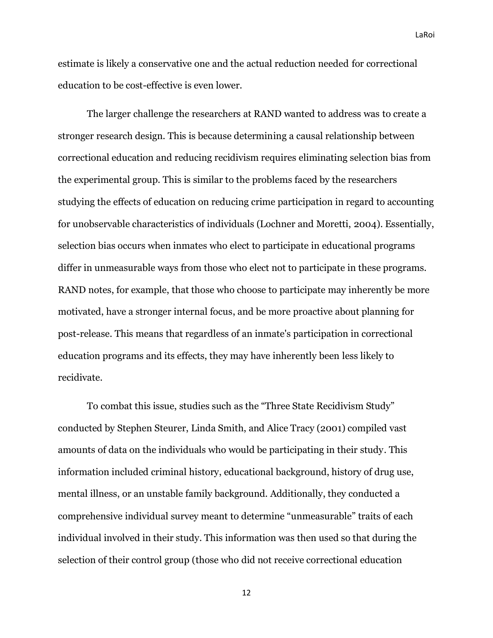estimate is likely a conservative one and the actual reduction needed for correctional education to be cost-effective is even lower.

The larger challenge the researchers at RAND wanted to address was to create a stronger research design. This is because determining a causal relationship between correctional education and reducing recidivism requires eliminating selection bias from the experimental group. This is similar to the problems faced by the researchers studying the effects of education on reducing crime participation in regard to accounting for unobservable characteristics of individuals (Lochner and Moretti, 2004). Essentially, selection bias occurs when inmates who elect to participate in educational programs differ in unmeasurable ways from those who elect not to participate in these programs. RAND notes, for example, that those who choose to participate may inherently be more motivated, have a stronger internal focus, and be more proactive about planning for post-release. This means that regardless of an inmate's participation in correctional education programs and its effects, they may have inherently been less likely to recidivate.

To combat this issue, studies such as the "Three State Recidivism Study" conducted by Stephen Steurer, Linda Smith, and Alice Tracy (2001) compiled vast amounts of data on the individuals who would be participating in their study. This information included criminal history, educational background, history of drug use, mental illness, or an unstable family background. Additionally, they conducted a comprehensive individual survey meant to determine "unmeasurable" traits of each individual involved in their study. This information was then used so that during the selection of their control group (those who did not receive correctional education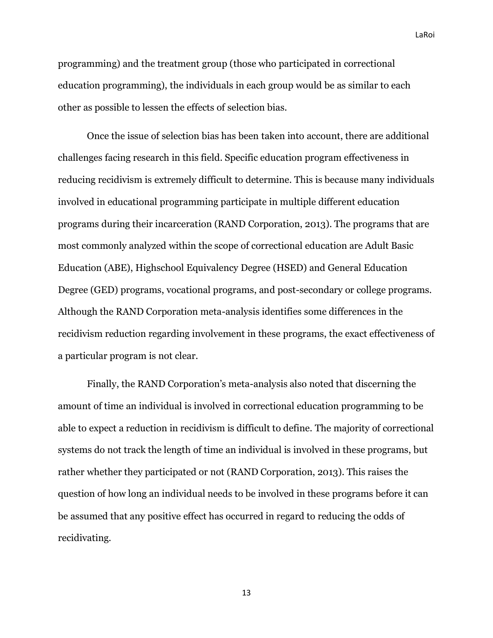programming) and the treatment group (those who participated in correctional education programming), the individuals in each group would be as similar to each other as possible to lessen the effects of selection bias.

Once the issue of selection bias has been taken into account, there are additional challenges facing research in this field. Specific education program effectiveness in reducing recidivism is extremely difficult to determine. This is because many individuals involved in educational programming participate in multiple different education programs during their incarceration (RAND Corporation, 2013). The programs that are most commonly analyzed within the scope of correctional education are Adult Basic Education (ABE), Highschool Equivalency Degree (HSED) and General Education Degree (GED) programs, vocational programs, and post-secondary or college programs. Although the RAND Corporation meta-analysis identifies some differences in the recidivism reduction regarding involvement in these programs, the exact effectiveness of a particular program is not clear.

Finally, the RAND Corporation's meta-analysis also noted that discerning the amount of time an individual is involved in correctional education programming to be able to expect a reduction in recidivism is difficult to define. The majority of correctional systems do not track the length of time an individual is involved in these programs, but rather whether they participated or not (RAND Corporation, 2013). This raises the question of how long an individual needs to be involved in these programs before it can be assumed that any positive effect has occurred in regard to reducing the odds of recidivating.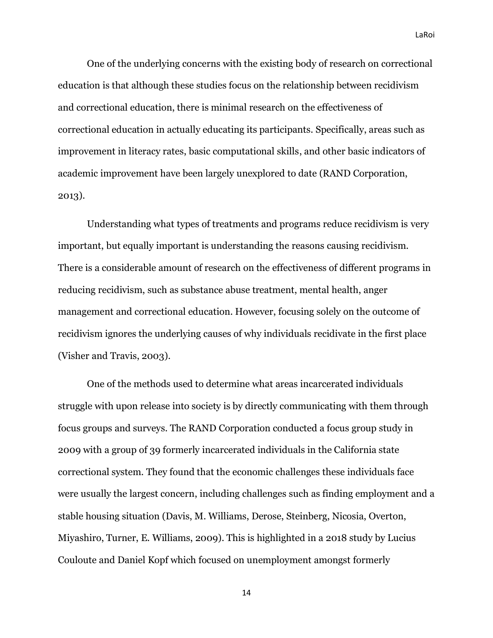One of the underlying concerns with the existing body of research on correctional education is that although these studies focus on the relationship between recidivism and correctional education, there is minimal research on the effectiveness of correctional education in actually educating its participants. Specifically, areas such as improvement in literacy rates, basic computational skills, and other basic indicators of academic improvement have been largely unexplored to date (RAND Corporation, 2013).

Understanding what types of treatments and programs reduce recidivism is very important, but equally important is understanding the reasons causing recidivism. There is a considerable amount of research on the effectiveness of different programs in reducing recidivism, such as substance abuse treatment, mental health, anger management and correctional education. However, focusing solely on the outcome of recidivism ignores the underlying causes of why individuals recidivate in the first place (Visher and Travis, 2003).

One of the methods used to determine what areas incarcerated individuals struggle with upon release into society is by directly communicating with them through focus groups and surveys. The RAND Corporation conducted a focus group study in 2009 with a group of 39 formerly incarcerated individuals in the California state correctional system. They found that the economic challenges these individuals face were usually the largest concern, including challenges such as finding employment and a stable housing situation (Davis, M. Williams, Derose, Steinberg, Nicosia, Overton, Miyashiro, Turner, E. Williams, 2009). This is highlighted in a 2018 study by Lucius Couloute and Daniel Kopf which focused on unemployment amongst formerly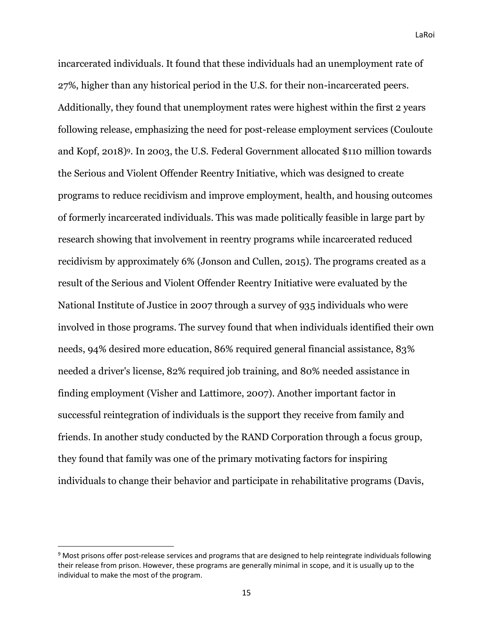incarcerated individuals. It found that these individuals had an unemployment rate of 27%, higher than any historical period in the U.S. for their non-incarcerated peers. Additionally, they found that unemployment rates were highest within the first 2 years following release, emphasizing the need for post-release employment services (Couloute and Kopf, 2018)9. In 2003, the U.S. Federal Government allocated \$110 million towards the Serious and Violent Offender Reentry Initiative, which was designed to create programs to reduce recidivism and improve employment, health, and housing outcomes of formerly incarcerated individuals. This was made politically feasible in large part by research showing that involvement in reentry programs while incarcerated reduced recidivism by approximately 6% (Jonson and Cullen, 2015). The programs created as a result of the Serious and Violent Offender Reentry Initiative were evaluated by the National Institute of Justice in 2007 through a survey of 935 individuals who were involved in those programs. The survey found that when individuals identified their own needs, 94% desired more education, 86% required general financial assistance, 83% needed a driver's license, 82% required job training, and 80% needed assistance in finding employment (Visher and Lattimore, 2007). Another important factor in successful reintegration of individuals is the support they receive from family and friends. In another study conducted by the RAND Corporation through a focus group, they found that family was one of the primary motivating factors for inspiring individuals to change their behavior and participate in rehabilitative programs (Davis,

<sup>9</sup> Most prisons offer post-release services and programs that are designed to help reintegrate individuals following their release from prison. However, these programs are generally minimal in scope, and it is usually up to the individual to make the most of the program.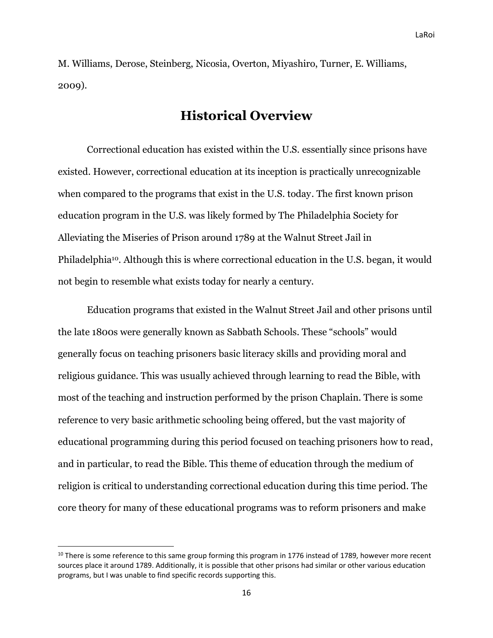M. Williams, Derose, Steinberg, Nicosia, Overton, Miyashiro, Turner, E. Williams, 2009).

## **Historical Overview**

<span id="page-16-0"></span>Correctional education has existed within the U.S. essentially since prisons have existed. However, correctional education at its inception is practically unrecognizable when compared to the programs that exist in the U.S. today. The first known prison education program in the U.S. was likely formed by The Philadelphia Society for Alleviating the Miseries of Prison around 1789 at the Walnut Street Jail in Philadelphia10. Although this is where correctional education in the U.S. began, it would not begin to resemble what exists today for nearly a century.

Education programs that existed in the Walnut Street Jail and other prisons until the late 1800s were generally known as Sabbath Schools. These "schools" would generally focus on teaching prisoners basic literacy skills and providing moral and religious guidance. This was usually achieved through learning to read the Bible, with most of the teaching and instruction performed by the prison Chaplain. There is some reference to very basic arithmetic schooling being offered, but the vast majority of educational programming during this period focused on teaching prisoners how to read, and in particular, to read the Bible. This theme of education through the medium of religion is critical to understanding correctional education during this time period. The core theory for many of these educational programs was to reform prisoners and make

<sup>&</sup>lt;sup>10</sup> There is some reference to this same group forming this program in 1776 instead of 1789, however more recent sources place it around 1789. Additionally, it is possible that other prisons had similar or other various education programs, but I was unable to find specific records supporting this.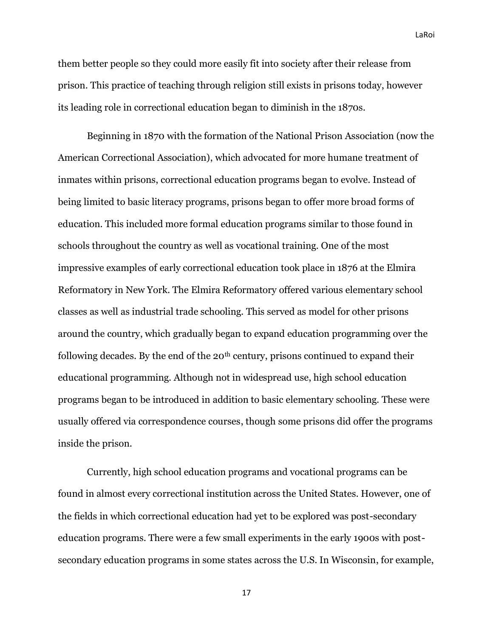them better people so they could more easily fit into society after their release from prison. This practice of teaching through religion still exists in prisons today, however its leading role in correctional education began to diminish in the 1870s.

Beginning in 1870 with the formation of the National Prison Association (now the American Correctional Association), which advocated for more humane treatment of inmates within prisons, correctional education programs began to evolve. Instead of being limited to basic literacy programs, prisons began to offer more broad forms of education. This included more formal education programs similar to those found in schools throughout the country as well as vocational training. One of the most impressive examples of early correctional education took place in 1876 at the Elmira Reformatory in New York. The Elmira Reformatory offered various elementary school classes as well as industrial trade schooling. This served as model for other prisons around the country, which gradually began to expand education programming over the following decades. By the end of the  $20<sup>th</sup>$  century, prisons continued to expand their educational programming. Although not in widespread use, high school education programs began to be introduced in addition to basic elementary schooling. These were usually offered via correspondence courses, though some prisons did offer the programs inside the prison.

Currently, high school education programs and vocational programs can be found in almost every correctional institution across the United States. However, one of the fields in which correctional education had yet to be explored was post-secondary education programs. There were a few small experiments in the early 1900s with postsecondary education programs in some states across the U.S. In Wisconsin, for example,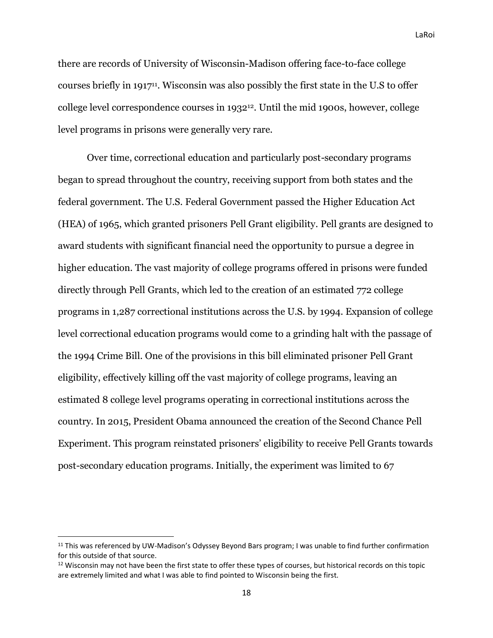there are records of University of Wisconsin-Madison offering face-to-face college courses briefly in 191711. Wisconsin was also possibly the first state in the U.S to offer college level correspondence courses in 193212. Until the mid 1900s, however, college level programs in prisons were generally very rare.

Over time, correctional education and particularly post-secondary programs began to spread throughout the country, receiving support from both states and the federal government. The U.S. Federal Government passed the Higher Education Act (HEA) of 1965, which granted prisoners Pell Grant eligibility. Pell grants are designed to award students with significant financial need the opportunity to pursue a degree in higher education. The vast majority of college programs offered in prisons were funded directly through Pell Grants, which led to the creation of an estimated 772 college programs in 1,287 correctional institutions across the U.S. by 1994. Expansion of college level correctional education programs would come to a grinding halt with the passage of the 1994 Crime Bill. One of the provisions in this bill eliminated prisoner Pell Grant eligibility, effectively killing off the vast majority of college programs, leaving an estimated 8 college level programs operating in correctional institutions across the country. In 2015, President Obama announced the creation of the Second Chance Pell Experiment. This program reinstated prisoners' eligibility to receive Pell Grants towards post-secondary education programs. Initially, the experiment was limited to 67

<sup>&</sup>lt;sup>11</sup> This was referenced by UW-Madison's Odyssey Beyond Bars program; I was unable to find further confirmation for this outside of that source.

<sup>&</sup>lt;sup>12</sup> Wisconsin may not have been the first state to offer these types of courses, but historical records on this topic are extremely limited and what I was able to find pointed to Wisconsin being the first.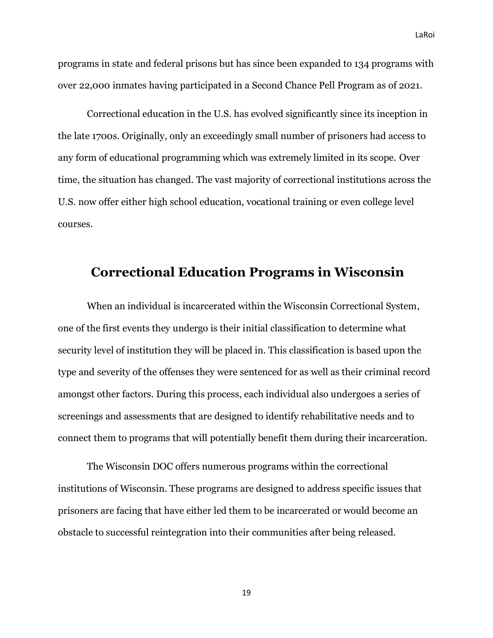programs in state and federal prisons but has since been expanded to 134 programs with over 22,000 inmates having participated in a Second Chance Pell Program as of 2021.

Correctional education in the U.S. has evolved significantly since its inception in the late 1700s. Originally, only an exceedingly small number of prisoners had access to any form of educational programming which was extremely limited in its scope. Over time, the situation has changed. The vast majority of correctional institutions across the U.S. now offer either high school education, vocational training or even college level courses.

### <span id="page-19-0"></span>**Correctional Education Programs in Wisconsin**

When an individual is incarcerated within the Wisconsin Correctional System, one of the first events they undergo is their initial classification to determine what security level of institution they will be placed in. This classification is based upon the type and severity of the offenses they were sentenced for as well as their criminal record amongst other factors. During this process, each individual also undergoes a series of screenings and assessments that are designed to identify rehabilitative needs and to connect them to programs that will potentially benefit them during their incarceration.

The Wisconsin DOC offers numerous programs within the correctional institutions of Wisconsin. These programs are designed to address specific issues that prisoners are facing that have either led them to be incarcerated or would become an obstacle to successful reintegration into their communities after being released.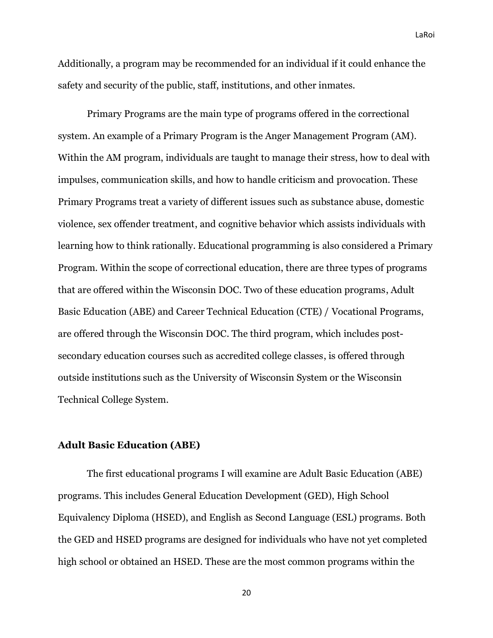Additionally, a program may be recommended for an individual if it could enhance the safety and security of the public, staff, institutions, and other inmates.

Primary Programs are the main type of programs offered in the correctional system. An example of a Primary Program is the Anger Management Program (AM). Within the AM program, individuals are taught to manage their stress, how to deal with impulses, communication skills, and how to handle criticism and provocation. These Primary Programs treat a variety of different issues such as substance abuse, domestic violence, sex offender treatment, and cognitive behavior which assists individuals with learning how to think rationally. Educational programming is also considered a Primary Program. Within the scope of correctional education, there are three types of programs that are offered within the Wisconsin DOC. Two of these education programs, Adult Basic Education (ABE) and Career Technical Education (CTE) / Vocational Programs, are offered through the Wisconsin DOC. The third program, which includes postsecondary education courses such as accredited college classes, is offered through outside institutions such as the University of Wisconsin System or the Wisconsin Technical College System.

#### <span id="page-20-0"></span>**Adult Basic Education (ABE)**

The first educational programs I will examine are Adult Basic Education (ABE) programs. This includes General Education Development (GED), High School Equivalency Diploma (HSED), and English as Second Language (ESL) programs. Both the GED and HSED programs are designed for individuals who have not yet completed high school or obtained an HSED. These are the most common programs within the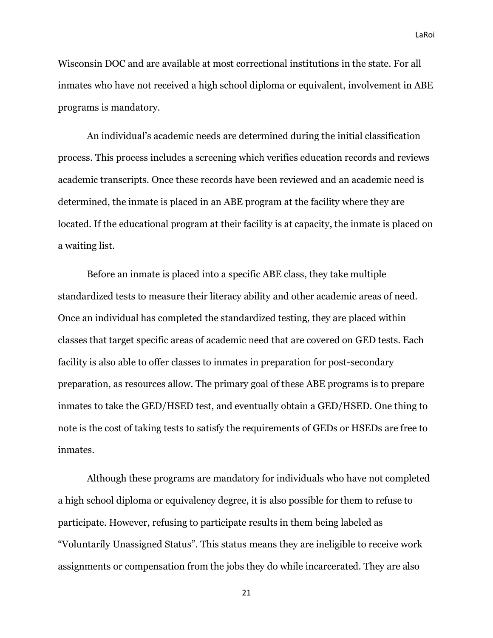Wisconsin DOC and are available at most correctional institutions in the state. For all inmates who have not received a high school diploma or equivalent, involvement in ABE programs is mandatory.

An individual's academic needs are determined during the initial classification process. This process includes a screening which verifies education records and reviews academic transcripts. Once these records have been reviewed and an academic need is determined, the inmate is placed in an ABE program at the facility where they are located. If the educational program at their facility is at capacity, the inmate is placed on a waiting list.

Before an inmate is placed into a specific ABE class, they take multiple standardized tests to measure their literacy ability and other academic areas of need. Once an individual has completed the standardized testing, they are placed within classes that target specific areas of academic need that are covered on GED tests. Each facility is also able to offer classes to inmates in preparation for post-secondary preparation, as resources allow. The primary goal of these ABE programs is to prepare inmates to take the GED/HSED test, and eventually obtain a GED/HSED. One thing to note is the cost of taking tests to satisfy the requirements of GEDs or HSEDs are free to inmates.

Although these programs are mandatory for individuals who have not completed a high school diploma or equivalency degree, it is also possible for them to refuse to participate. However, refusing to participate results in them being labeled as "Voluntarily Unassigned Status". This status means they are ineligible to receive work assignments or compensation from the jobs they do while incarcerated. They are also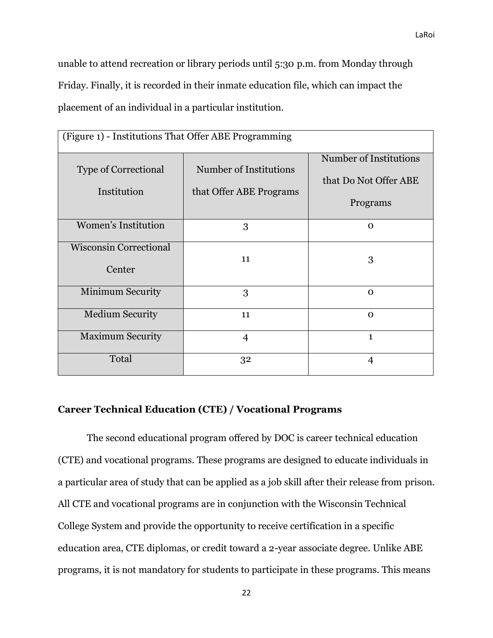unable to attend recreation or library periods until 5:30 p.m. from Monday through Friday. Finally, it is recorded in their inmate education file, which can impact the placement of an individual in a particular institution.

| (Figure 1) - Institutions That Offer ABE Programming |                                                   |                                                                    |  |  |  |  |  |
|------------------------------------------------------|---------------------------------------------------|--------------------------------------------------------------------|--|--|--|--|--|
| <b>Type of Correctional</b><br>Institution           | Number of Institutions<br>that Offer ABE Programs | <b>Number of Institutions</b><br>that Do Not Offer ABE<br>Programs |  |  |  |  |  |
| <b>Women's Institution</b>                           | 3                                                 | $\Omega$                                                           |  |  |  |  |  |
| <b>Wisconsin Correctional</b><br>Center              | 11                                                | 3                                                                  |  |  |  |  |  |
| Minimum Security                                     | 3                                                 | $\Omega$                                                           |  |  |  |  |  |
| <b>Medium Security</b>                               | 11                                                | $\Omega$                                                           |  |  |  |  |  |
| <b>Maximum Security</b>                              | $\overline{4}$                                    | $\mathbf{1}$                                                       |  |  |  |  |  |
| Total                                                | 32                                                | 4                                                                  |  |  |  |  |  |

#### <span id="page-22-0"></span>**Career Technical Education (CTE) / Vocational Programs**

The second educational program offered by DOC is career technical education (CTE) and vocational programs. These programs are designed to educate individuals in a particular area of study that can be applied as a job skill after their release from prison. All CTE and vocational programs are in conjunction with the Wisconsin Technical College System and provide the opportunity to receive certification in a specific education area, CTE diplomas, or credit toward a 2-year associate degree. Unlike ABE programs, it is not mandatory for students to participate in these programs. This means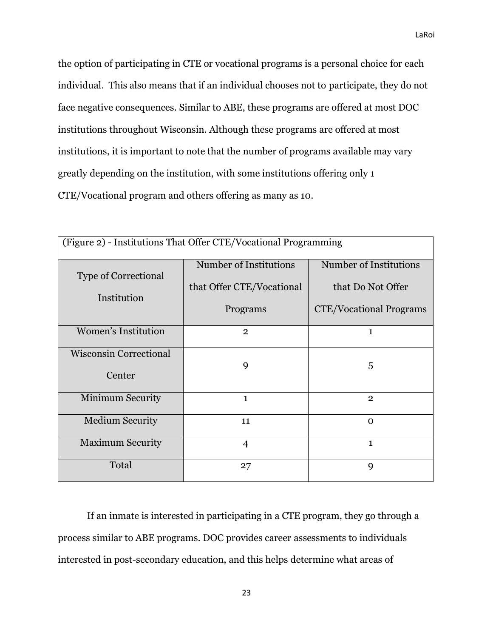the option of participating in CTE or vocational programs is a personal choice for each individual. This also means that if an individual chooses not to participate, they do not face negative consequences. Similar to ABE, these programs are offered at most DOC institutions throughout Wisconsin. Although these programs are offered at most institutions, it is important to note that the number of programs available may vary greatly depending on the institution, with some institutions offering only 1

CTE/Vocational program and others offering as many as 10.

| (Figure 2) - Institutions That Offer CTE/Vocational Programming |                           |                                |  |  |  |  |
|-----------------------------------------------------------------|---------------------------|--------------------------------|--|--|--|--|
| <b>Type of Correctional</b>                                     | Number of Institutions    | Number of Institutions         |  |  |  |  |
| Institution                                                     | that Offer CTE/Vocational | that Do Not Offer              |  |  |  |  |
|                                                                 | Programs                  | <b>CTE/Vocational Programs</b> |  |  |  |  |
| Women's Institution                                             | $\overline{2}$            | 1                              |  |  |  |  |
| <b>Wisconsin Correctional</b><br>Center                         | 9                         | 5                              |  |  |  |  |
| Minimum Security                                                | $\mathbf{1}$              | $\mathbf{2}$                   |  |  |  |  |
| <b>Medium Security</b>                                          | 11                        | $\Omega$                       |  |  |  |  |
| <b>Maximum Security</b>                                         | $\overline{4}$            | $\mathbf{1}$                   |  |  |  |  |
| Total                                                           | 27                        | 9                              |  |  |  |  |

If an inmate is interested in participating in a CTE program, they go through a process similar to ABE programs. DOC provides career assessments to individuals interested in post-secondary education, and this helps determine what areas of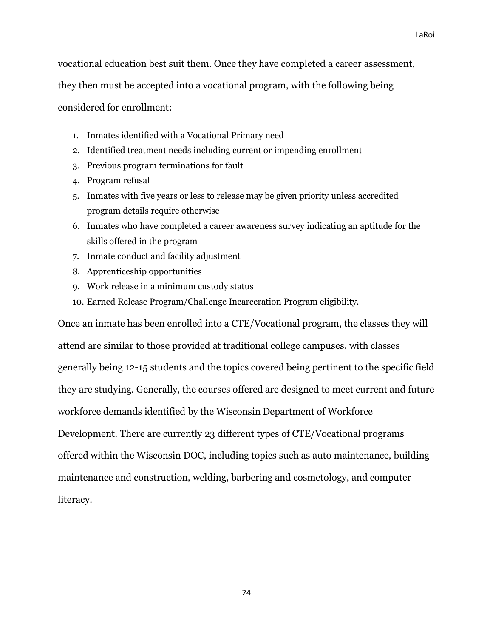vocational education best suit them. Once they have completed a career assessment,

they then must be accepted into a vocational program, with the following being

considered for enrollment:

- 1. Inmates identified with a Vocational Primary need
- 2. Identified treatment needs including current or impending enrollment
- 3. Previous program terminations for fault
- 4. Program refusal
- 5. Inmates with five years or less to release may be given priority unless accredited program details require otherwise
- 6. Inmates who have completed a career awareness survey indicating an aptitude for the skills offered in the program
- 7. Inmate conduct and facility adjustment
- 8. Apprenticeship opportunities
- 9. Work release in a minimum custody status
- 10. Earned Release Program/Challenge Incarceration Program eligibility.

Once an inmate has been enrolled into a CTE/Vocational program, the classes they will attend are similar to those provided at traditional college campuses, with classes generally being 12-15 students and the topics covered being pertinent to the specific field they are studying. Generally, the courses offered are designed to meet current and future workforce demands identified by the Wisconsin Department of Workforce Development. There are currently 23 different types of CTE/Vocational programs offered within the Wisconsin DOC, including topics such as auto maintenance, building maintenance and construction, welding, barbering and cosmetology, and computer literacy.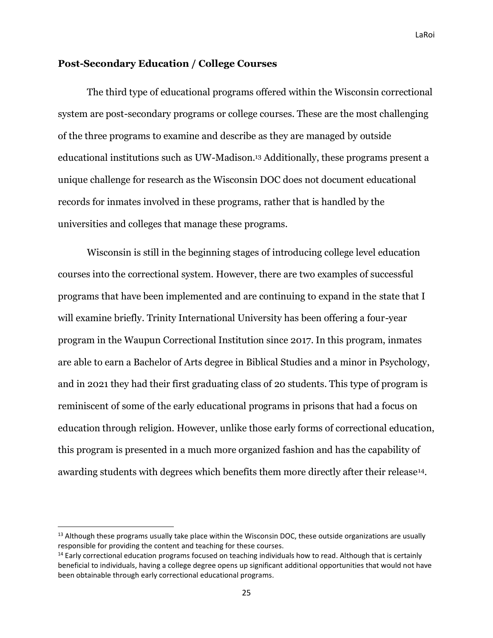#### <span id="page-25-0"></span>**Post-Secondary Education / College Courses**

The third type of educational programs offered within the Wisconsin correctional system are post-secondary programs or college courses. These are the most challenging of the three programs to examine and describe as they are managed by outside educational institutions such as UW-Madison.<sup>13</sup> Additionally, these programs present a unique challenge for research as the Wisconsin DOC does not document educational records for inmates involved in these programs, rather that is handled by the universities and colleges that manage these programs.

Wisconsin is still in the beginning stages of introducing college level education courses into the correctional system. However, there are two examples of successful programs that have been implemented and are continuing to expand in the state that I will examine briefly. Trinity International University has been offering a four-year program in the Waupun Correctional Institution since 2017. In this program, inmates are able to earn a Bachelor of Arts degree in Biblical Studies and a minor in Psychology, and in 2021 they had their first graduating class of 20 students. This type of program is reminiscent of some of the early educational programs in prisons that had a focus on education through religion. However, unlike those early forms of correctional education, this program is presented in a much more organized fashion and has the capability of awarding students with degrees which benefits them more directly after their release<sup>14</sup>.

<sup>&</sup>lt;sup>13</sup> Although these programs usually take place within the Wisconsin DOC, these outside organizations are usually responsible for providing the content and teaching for these courses.

<sup>&</sup>lt;sup>14</sup> Early correctional education programs focused on teaching individuals how to read. Although that is certainly beneficial to individuals, having a college degree opens up significant additional opportunities that would not have been obtainable through early correctional educational programs.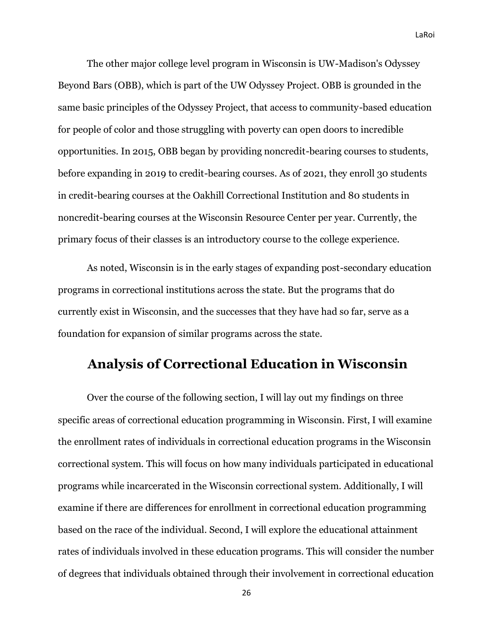The other major college level program in Wisconsin is UW-Madison's Odyssey Beyond Bars (OBB), which is part of the UW Odyssey Project. OBB is grounded in the same basic principles of the Odyssey Project, that access to community-based education for people of color and those struggling with poverty can open doors to incredible opportunities. In 2015, OBB began by providing noncredit-bearing courses to students, before expanding in 2019 to credit-bearing courses. As of 2021, they enroll 30 students in credit-bearing courses at the Oakhill Correctional Institution and 80 students in noncredit-bearing courses at the Wisconsin Resource Center per year. Currently, the primary focus of their classes is an introductory course to the college experience.

As noted, Wisconsin is in the early stages of expanding post-secondary education programs in correctional institutions across the state. But the programs that do currently exist in Wisconsin, and the successes that they have had so far, serve as a foundation for expansion of similar programs across the state.

### <span id="page-26-0"></span>**Analysis of Correctional Education in Wisconsin**

Over the course of the following section, I will lay out my findings on three specific areas of correctional education programming in Wisconsin. First, I will examine the enrollment rates of individuals in correctional education programs in the Wisconsin correctional system. This will focus on how many individuals participated in educational programs while incarcerated in the Wisconsin correctional system. Additionally, I will examine if there are differences for enrollment in correctional education programming based on the race of the individual. Second, I will explore the educational attainment rates of individuals involved in these education programs. This will consider the number of degrees that individuals obtained through their involvement in correctional education

26

LaRoi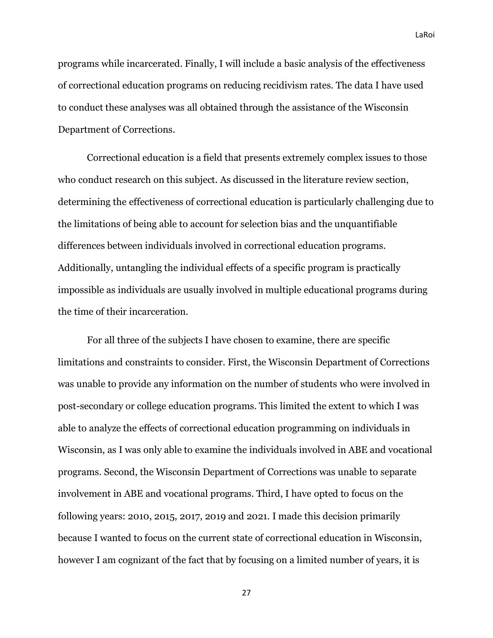programs while incarcerated. Finally, I will include a basic analysis of the effectiveness of correctional education programs on reducing recidivism rates. The data I have used to conduct these analyses was all obtained through the assistance of the Wisconsin Department of Corrections.

Correctional education is a field that presents extremely complex issues to those who conduct research on this subject. As discussed in the literature review section, determining the effectiveness of correctional education is particularly challenging due to the limitations of being able to account for selection bias and the unquantifiable differences between individuals involved in correctional education programs. Additionally, untangling the individual effects of a specific program is practically impossible as individuals are usually involved in multiple educational programs during the time of their incarceration.

For all three of the subjects I have chosen to examine, there are specific limitations and constraints to consider. First, the Wisconsin Department of Corrections was unable to provide any information on the number of students who were involved in post-secondary or college education programs. This limited the extent to which I was able to analyze the effects of correctional education programming on individuals in Wisconsin, as I was only able to examine the individuals involved in ABE and vocational programs. Second, the Wisconsin Department of Corrections was unable to separate involvement in ABE and vocational programs. Third, I have opted to focus on the following years: 2010, 2015, 2017, 2019 and 2021. I made this decision primarily because I wanted to focus on the current state of correctional education in Wisconsin, however I am cognizant of the fact that by focusing on a limited number of years, it is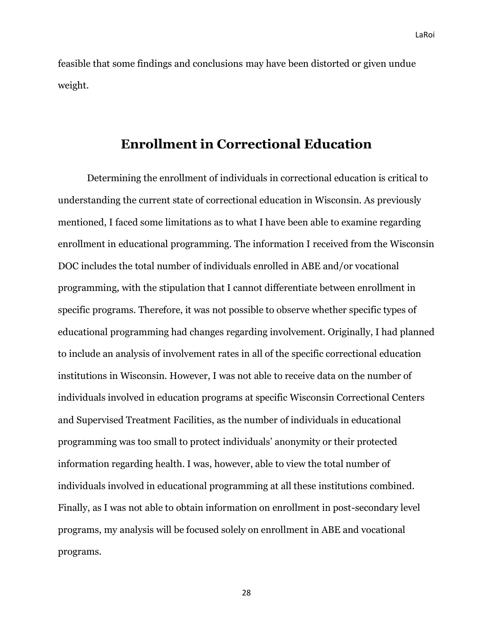feasible that some findings and conclusions may have been distorted or given undue weight.

## **Enrollment in Correctional Education**

<span id="page-28-0"></span>Determining the enrollment of individuals in correctional education is critical to understanding the current state of correctional education in Wisconsin. As previously mentioned, I faced some limitations as to what I have been able to examine regarding enrollment in educational programming. The information I received from the Wisconsin DOC includes the total number of individuals enrolled in ABE and/or vocational programming, with the stipulation that I cannot differentiate between enrollment in specific programs. Therefore, it was not possible to observe whether specific types of educational programming had changes regarding involvement. Originally, I had planned to include an analysis of involvement rates in all of the specific correctional education institutions in Wisconsin. However, I was not able to receive data on the number of individuals involved in education programs at specific Wisconsin Correctional Centers and Supervised Treatment Facilities, as the number of individuals in educational programming was too small to protect individuals' anonymity or their protected information regarding health. I was, however, able to view the total number of individuals involved in educational programming at all these institutions combined. Finally, as I was not able to obtain information on enrollment in post-secondary level programs, my analysis will be focused solely on enrollment in ABE and vocational programs.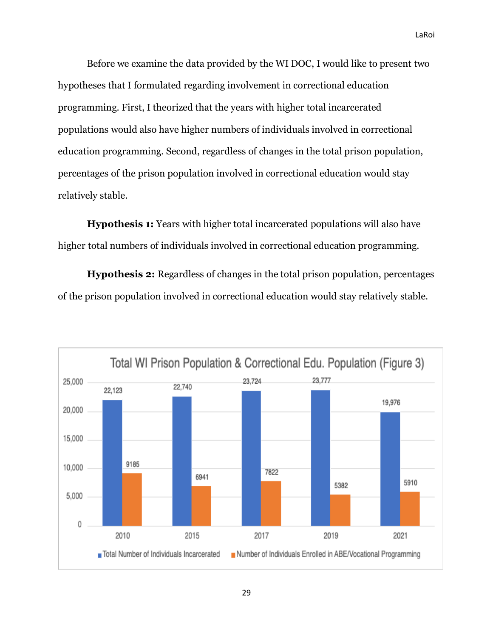Before we examine the data provided by the WI DOC, I would like to present two hypotheses that I formulated regarding involvement in correctional education programming. First, I theorized that the years with higher total incarcerated populations would also have higher numbers of individuals involved in correctional education programming. Second, regardless of changes in the total prison population, percentages of the prison population involved in correctional education would stay relatively stable.

**Hypothesis 1:** Years with higher total incarcerated populations will also have higher total numbers of individuals involved in correctional education programming.

**Hypothesis 2:** Regardless of changes in the total prison population, percentages of the prison population involved in correctional education would stay relatively stable.

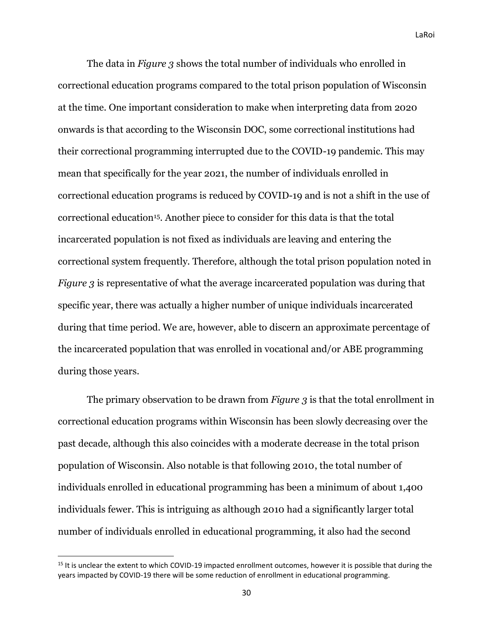The data in *Figure 3* shows the total number of individuals who enrolled in correctional education programs compared to the total prison population of Wisconsin at the time. One important consideration to make when interpreting data from 2020 onwards is that according to the Wisconsin DOC, some correctional institutions had their correctional programming interrupted due to the COVID-19 pandemic. This may mean that specifically for the year 2021, the number of individuals enrolled in correctional education programs is reduced by COVID-19 and is not a shift in the use of correctional education15. Another piece to consider for this data is that the total incarcerated population is not fixed as individuals are leaving and entering the correctional system frequently. Therefore, although the total prison population noted in *Figure 3* is representative of what the average incarcerated population was during that specific year, there was actually a higher number of unique individuals incarcerated during that time period. We are, however, able to discern an approximate percentage of the incarcerated population that was enrolled in vocational and/or ABE programming during those years.

The primary observation to be drawn from *Figure 3* is that the total enrollment in correctional education programs within Wisconsin has been slowly decreasing over the past decade, although this also coincides with a moderate decrease in the total prison population of Wisconsin. Also notable is that following 2010, the total number of individuals enrolled in educational programming has been a minimum of about 1,400 individuals fewer. This is intriguing as although 2010 had a significantly larger total number of individuals enrolled in educational programming, it also had the second

<sup>&</sup>lt;sup>15</sup> It is unclear the extent to which COVID-19 impacted enrollment outcomes, however it is possible that during the years impacted by COVID-19 there will be some reduction of enrollment in educational programming.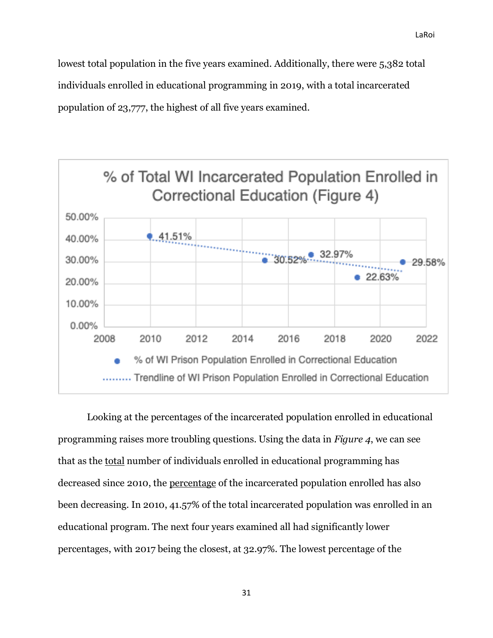lowest total population in the five years examined. Additionally, there were 5,382 total individuals enrolled in educational programming in 2019, with a total incarcerated population of 23,777, the highest of all five years examined.



Looking at the percentages of the incarcerated population enrolled in educational programming raises more troubling questions. Using the data in *Figure 4*, we can see that as the total number of individuals enrolled in educational programming has decreased since 2010, the percentage of the incarcerated population enrolled has also been decreasing. In 2010, 41.57% of the total incarcerated population was enrolled in an educational program. The next four years examined all had significantly lower percentages, with 2017 being the closest, at 32.97%. The lowest percentage of the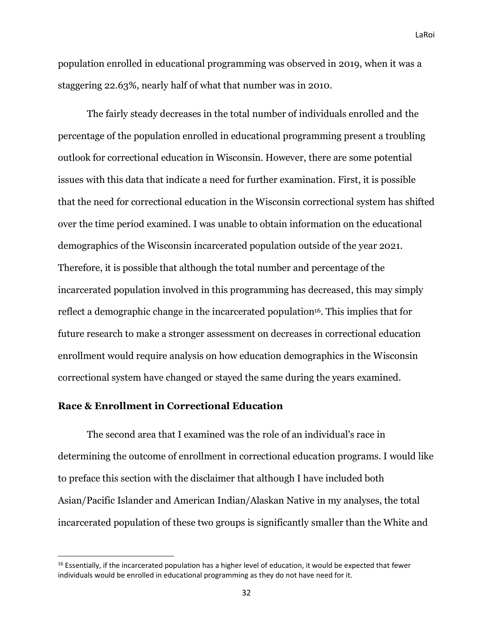population enrolled in educational programming was observed in 2019, when it was a staggering 22.63%, nearly half of what that number was in 2010.

The fairly steady decreases in the total number of individuals enrolled and the percentage of the population enrolled in educational programming present a troubling outlook for correctional education in Wisconsin. However, there are some potential issues with this data that indicate a need for further examination. First, it is possible that the need for correctional education in the Wisconsin correctional system has shifted over the time period examined. I was unable to obtain information on the educational demographics of the Wisconsin incarcerated population outside of the year 2021. Therefore, it is possible that although the total number and percentage of the incarcerated population involved in this programming has decreased, this may simply reflect a demographic change in the incarcerated population<sup>16</sup>. This implies that for future research to make a stronger assessment on decreases in correctional education enrollment would require analysis on how education demographics in the Wisconsin correctional system have changed or stayed the same during the years examined.

#### <span id="page-32-0"></span>**Race & Enrollment in Correctional Education**

The second area that I examined was the role of an individual's race in determining the outcome of enrollment in correctional education programs. I would like to preface this section with the disclaimer that although I have included both Asian/Pacific Islander and American Indian/Alaskan Native in my analyses, the total incarcerated population of these two groups is significantly smaller than the White and

<sup>&</sup>lt;sup>16</sup> Essentially, if the incarcerated population has a higher level of education, it would be expected that fewer individuals would be enrolled in educational programming as they do not have need for it.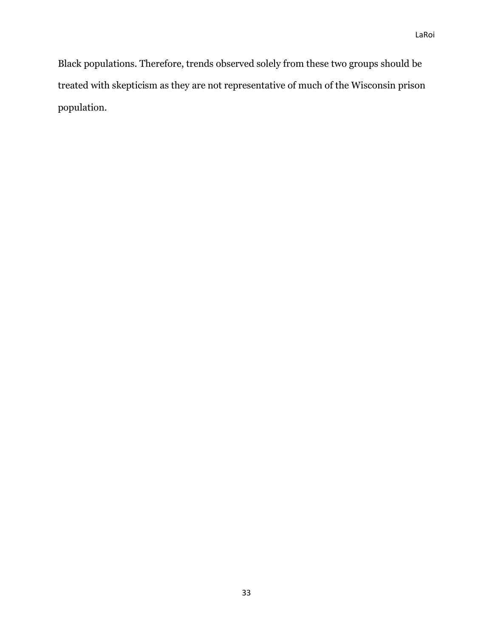Black populations. Therefore, trends observed solely from these two groups should be treated with skepticism as they are not representative of much of the Wisconsin prison population.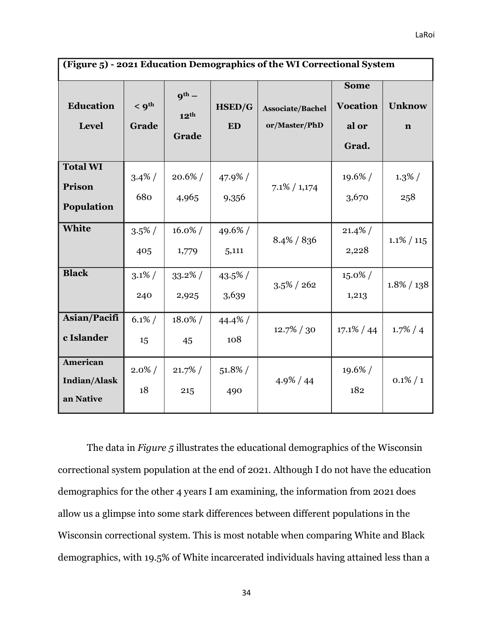| (Figure 5) - 2021 Education Demographics of the WI Correctional System |                              |                                         |                            |                                   |                                                  |                              |  |  |
|------------------------------------------------------------------------|------------------------------|-----------------------------------------|----------------------------|-----------------------------------|--------------------------------------------------|------------------------------|--|--|
| <b>Education</b><br><b>Level</b>                                       | $<$ 9 <sup>th</sup><br>Grade | $q^{th}$ –<br>12 <sup>th</sup><br>Grade | <b>HSED/G</b><br><b>ED</b> | Associate/Bachel<br>or/Master/PhD | <b>Some</b><br><b>Vocation</b><br>al or<br>Grad. | <b>Unknow</b><br>$\mathbf n$ |  |  |
| <b>Total WI</b><br>Prison<br>Population                                | $3.4\%$ /<br>680             | $20.6\% /$<br>4,965                     | $47.9\%$ /<br>9,356        | $7.1\% / 1,174$                   | $19.6\% /$<br>3,670                              | $1.3\% /$<br>258             |  |  |
| White                                                                  | $3.5\%$ /<br>405             | $16.0\% /$<br>1,779                     | 49.6%/<br>5,111            | $8.4\% / 836$                     | $21.4\%$<br>2,228                                | $1.1\% / 115$                |  |  |
| <b>Black</b>                                                           | $3.1\%$<br>240               | $33.2\%$ /<br>2,925                     | $43.5\%$ /<br>3,639        | $3.5\% / 262$                     | $15.0\% /$<br>1,213                              | $1.8\% / 138$                |  |  |
| Asian/Pacifi<br>c Islander                                             | $6.1\%$ /<br>15              | $18.0\% /$<br>45                        | $44.4\%$ /<br>108          | $12.7\% / 30$                     | $17.1\% / 44$                                    | $1.7\% / 4$                  |  |  |
| <b>American</b><br><b>Indian/Alask</b><br>an Native                    | $2.0\% /$<br>18              | $21.7\%$ /<br>215                       | $51.8\%$ /<br>490          | $4.9\% / 44$                      | 19.6%/<br>182                                    | $0.1\% / 1$                  |  |  |

The data in *Figure 5* illustrates the educational demographics of the Wisconsin correctional system population at the end of 2021. Although I do not have the education demographics for the other 4 years I am examining, the information from 2021 does allow us a glimpse into some stark differences between different populations in the Wisconsin correctional system. This is most notable when comparing White and Black demographics, with 19.5% of White incarcerated individuals having attained less than a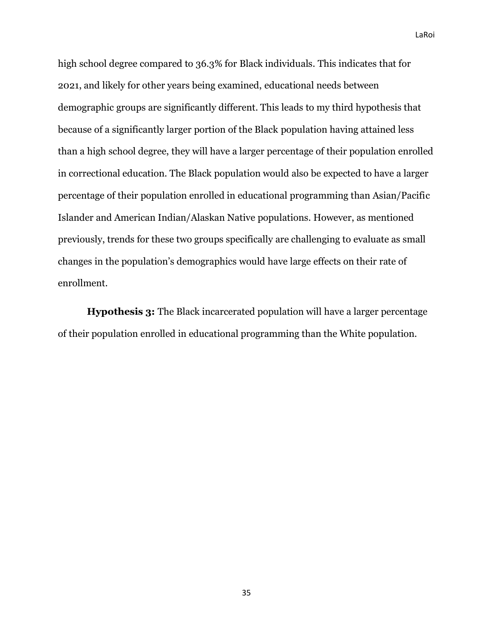high school degree compared to 36.3% for Black individuals. This indicates that for 2021, and likely for other years being examined, educational needs between demographic groups are significantly different. This leads to my third hypothesis that because of a significantly larger portion of the Black population having attained less than a high school degree, they will have a larger percentage of their population enrolled in correctional education. The Black population would also be expected to have a larger percentage of their population enrolled in educational programming than Asian/Pacific Islander and American Indian/Alaskan Native populations. However, as mentioned previously, trends for these two groups specifically are challenging to evaluate as small changes in the population's demographics would have large effects on their rate of enrollment.

**Hypothesis 3:** The Black incarcerated population will have a larger percentage of their population enrolled in educational programming than the White population.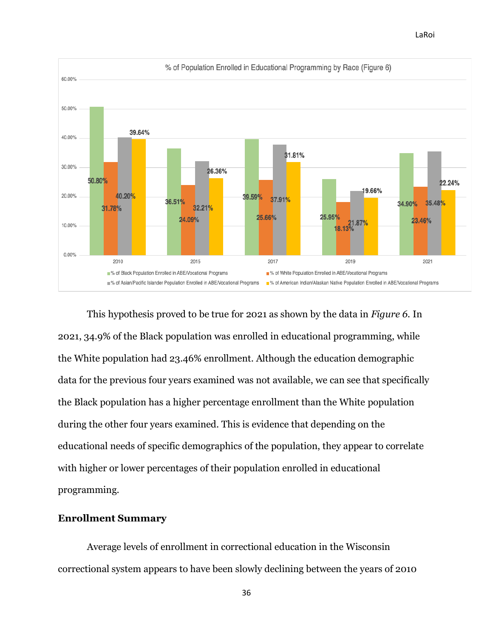



This hypothesis proved to be true for 2021 as shown by the data in *Figure 6.* In 2021, 34.9% of the Black population was enrolled in educational programming, while the White population had 23.46% enrollment. Although the education demographic data for the previous four years examined was not available, we can see that specifically the Black population has a higher percentage enrollment than the White population during the other four years examined. This is evidence that depending on the educational needs of specific demographics of the population, they appear to correlate with higher or lower percentages of their population enrolled in educational programming.

## **Enrollment Summary**

Average levels of enrollment in correctional education in the Wisconsin correctional system appears to have been slowly declining between the years of 2010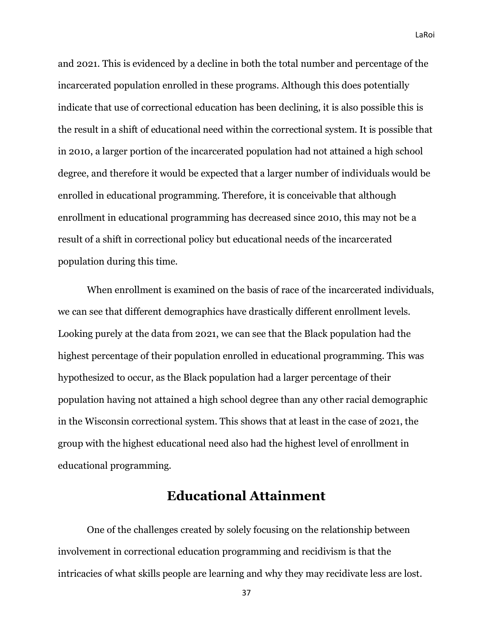and 2021. This is evidenced by a decline in both the total number and percentage of the incarcerated population enrolled in these programs. Although this does potentially indicate that use of correctional education has been declining, it is also possible this is the result in a shift of educational need within the correctional system. It is possible that in 2010, a larger portion of the incarcerated population had not attained a high school degree, and therefore it would be expected that a larger number of individuals would be enrolled in educational programming. Therefore, it is conceivable that although enrollment in educational programming has decreased since 2010, this may not be a result of a shift in correctional policy but educational needs of the incarcerated population during this time.

When enrollment is examined on the basis of race of the incarcerated individuals, we can see that different demographics have drastically different enrollment levels. Looking purely at the data from 2021, we can see that the Black population had the highest percentage of their population enrolled in educational programming. This was hypothesized to occur, as the Black population had a larger percentage of their population having not attained a high school degree than any other racial demographic in the Wisconsin correctional system. This shows that at least in the case of 2021, the group with the highest educational need also had the highest level of enrollment in educational programming.

# **Educational Attainment**

One of the challenges created by solely focusing on the relationship between involvement in correctional education programming and recidivism is that the intricacies of what skills people are learning and why they may recidivate less are lost.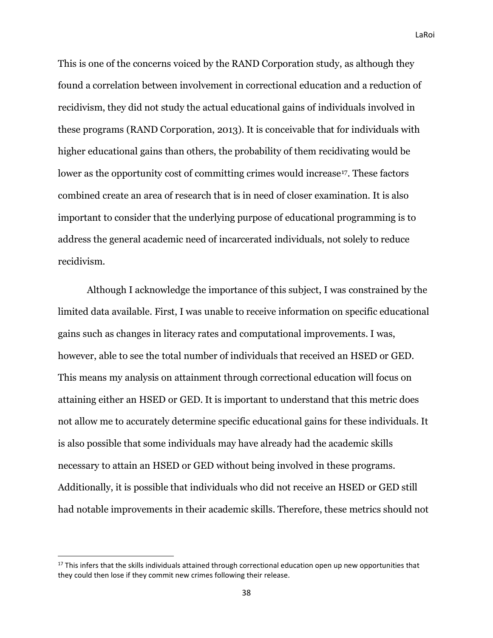This is one of the concerns voiced by the RAND Corporation study, as although they found a correlation between involvement in correctional education and a reduction of recidivism, they did not study the actual educational gains of individuals involved in these programs (RAND Corporation, 2013). It is conceivable that for individuals with higher educational gains than others, the probability of them recidivating would be lower as the opportunity cost of committing crimes would increase<sup>17</sup>. These factors combined create an area of research that is in need of closer examination. It is also important to consider that the underlying purpose of educational programming is to address the general academic need of incarcerated individuals, not solely to reduce recidivism.

Although I acknowledge the importance of this subject, I was constrained by the limited data available. First, I was unable to receive information on specific educational gains such as changes in literacy rates and computational improvements. I was, however, able to see the total number of individuals that received an HSED or GED. This means my analysis on attainment through correctional education will focus on attaining either an HSED or GED. It is important to understand that this metric does not allow me to accurately determine specific educational gains for these individuals. It is also possible that some individuals may have already had the academic skills necessary to attain an HSED or GED without being involved in these programs. Additionally, it is possible that individuals who did not receive an HSED or GED still had notable improvements in their academic skills. Therefore, these metrics should not

<sup>&</sup>lt;sup>17</sup> This infers that the skills individuals attained through correctional education open up new opportunities that they could then lose if they commit new crimes following their release.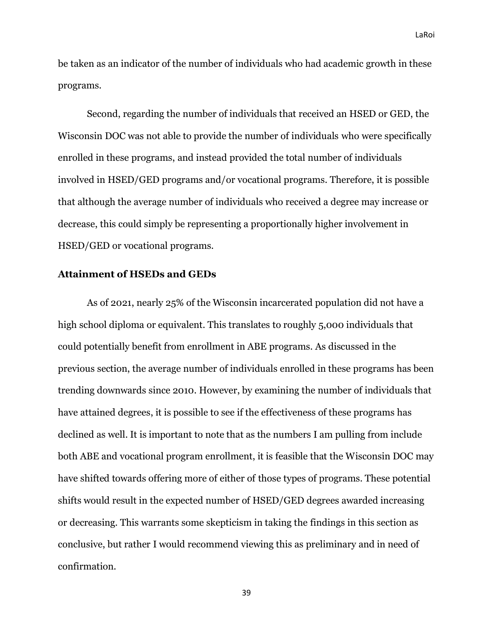be taken as an indicator of the number of individuals who had academic growth in these programs.

Second, regarding the number of individuals that received an HSED or GED, the Wisconsin DOC was not able to provide the number of individuals who were specifically enrolled in these programs, and instead provided the total number of individuals involved in HSED/GED programs and/or vocational programs. Therefore, it is possible that although the average number of individuals who received a degree may increase or decrease, this could simply be representing a proportionally higher involvement in HSED/GED or vocational programs.

#### **Attainment of HSEDs and GEDs**

As of 2021, nearly 25% of the Wisconsin incarcerated population did not have a high school diploma or equivalent. This translates to roughly 5,000 individuals that could potentially benefit from enrollment in ABE programs. As discussed in the previous section, the average number of individuals enrolled in these programs has been trending downwards since 2010. However, by examining the number of individuals that have attained degrees, it is possible to see if the effectiveness of these programs has declined as well. It is important to note that as the numbers I am pulling from include both ABE and vocational program enrollment, it is feasible that the Wisconsin DOC may have shifted towards offering more of either of those types of programs. These potential shifts would result in the expected number of HSED/GED degrees awarded increasing or decreasing. This warrants some skepticism in taking the findings in this section as conclusive, but rather I would recommend viewing this as preliminary and in need of confirmation.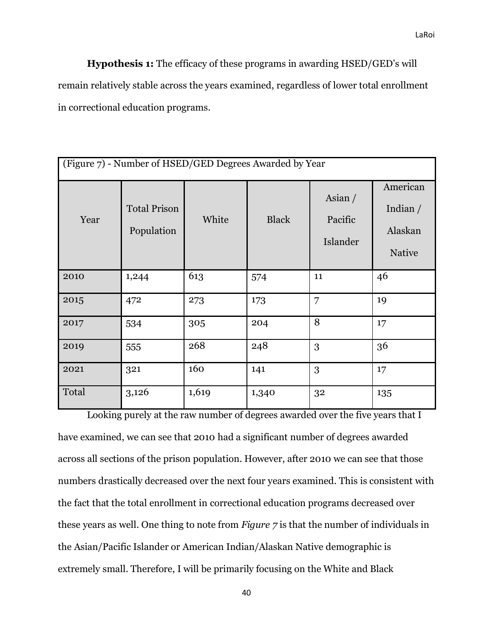**Hypothesis 1:** The efficacy of these programs in awarding HSED/GED's will remain relatively stable across the years examined, regardless of lower total enrollment in correctional education programs.

| (Figure 7) - Number of HSED/GED Degrees Awarded by Year |                                   |       |              |                                  |                                                    |  |
|---------------------------------------------------------|-----------------------------------|-------|--------------|----------------------------------|----------------------------------------------------|--|
| Year                                                    | <b>Total Prison</b><br>Population | White | <b>Black</b> | Asian $/$<br>Pacific<br>Islander | American<br>Indian $/$<br>Alaskan<br><b>Native</b> |  |
| 2010                                                    | 1,244                             | 613   | 574          | 11                               | 46                                                 |  |
| 2015                                                    | 472                               | 273   | 173          | 7                                | 19                                                 |  |
| 2017                                                    | 534                               | 305   | 204          | 8                                | 17                                                 |  |
| 2019                                                    | 555                               | 268   | 248          | 3                                | 36                                                 |  |
| 2021                                                    | 321                               | 160   | 141          | 3                                | 17                                                 |  |
| Total                                                   | 3,126                             | 1,619 | 1,340        | 32                               | 135                                                |  |

Looking purely at the raw number of degrees awarded over the five years that I have examined, we can see that 2010 had a significant number of degrees awarded across all sections of the prison population. However, after 2010 we can see that those numbers drastically decreased over the next four years examined. This is consistent with the fact that the total enrollment in correctional education programs decreased over these years as well. One thing to note from *Figure 7* is that the number of individuals in the Asian/Pacific Islander or American Indian/Alaskan Native demographic is extremely small. Therefore, I will be primarily focusing on the White and Black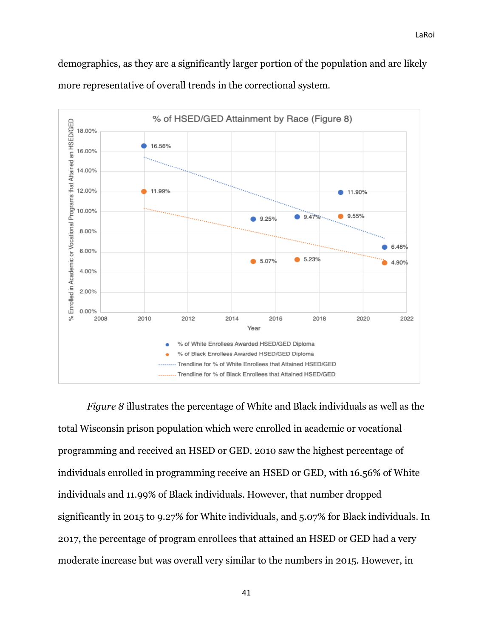demographics, as they are a significantly larger portion of the population and are likely more representative of overall trends in the correctional system.



*Figure 8* illustrates the percentage of White and Black individuals as well as the total Wisconsin prison population which were enrolled in academic or vocational programming and received an HSED or GED. 2010 saw the highest percentage of individuals enrolled in programming receive an HSED or GED, with 16.56% of White individuals and 11.99% of Black individuals. However, that number dropped significantly in 2015 to 9.27% for White individuals, and 5.07% for Black individuals. In 2017, the percentage of program enrollees that attained an HSED or GED had a very moderate increase but was overall very similar to the numbers in 2015. However, in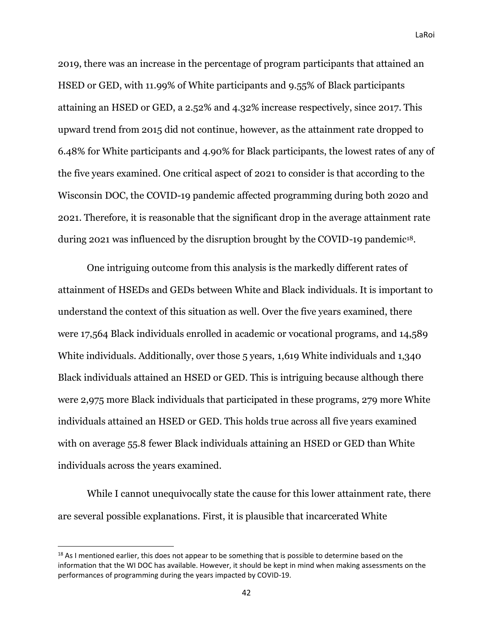2019, there was an increase in the percentage of program participants that attained an HSED or GED, with 11.99% of White participants and 9.55% of Black participants attaining an HSED or GED, a 2.52% and 4.32% increase respectively, since 2017. This upward trend from 2015 did not continue, however, as the attainment rate dropped to 6.48% for White participants and 4.90% for Black participants, the lowest rates of any of the five years examined. One critical aspect of 2021 to consider is that according to the Wisconsin DOC, the COVID-19 pandemic affected programming during both 2020 and 2021. Therefore, it is reasonable that the significant drop in the average attainment rate during 2021 was influenced by the disruption brought by the COVID-19 pandemic<sup>18</sup>.

One intriguing outcome from this analysis is the markedly different rates of attainment of HSEDs and GEDs between White and Black individuals. It is important to understand the context of this situation as well. Over the five years examined, there were 17,564 Black individuals enrolled in academic or vocational programs, and 14,589 White individuals. Additionally, over those 5 years, 1,619 White individuals and 1,340 Black individuals attained an HSED or GED. This is intriguing because although there were 2,975 more Black individuals that participated in these programs, 279 more White individuals attained an HSED or GED. This holds true across all five years examined with on average 55.8 fewer Black individuals attaining an HSED or GED than White individuals across the years examined.

While I cannot unequivocally state the cause for this lower attainment rate, there are several possible explanations. First, it is plausible that incarcerated White

<sup>&</sup>lt;sup>18</sup> As I mentioned earlier, this does not appear to be something that is possible to determine based on the information that the WI DOC has available. However, it should be kept in mind when making assessments on the performances of programming during the years impacted by COVID-19.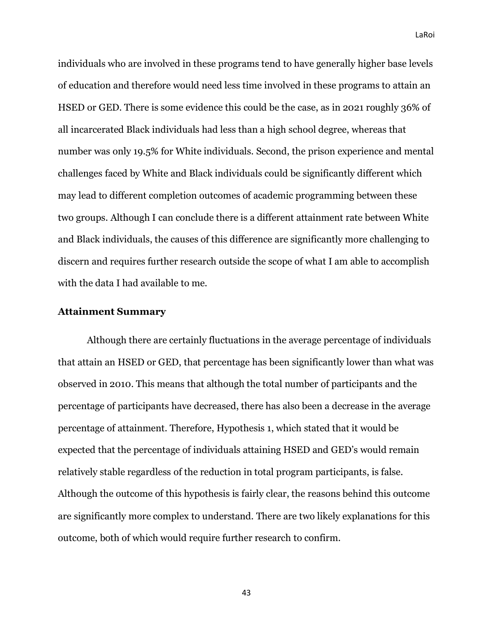individuals who are involved in these programs tend to have generally higher base levels of education and therefore would need less time involved in these programs to attain an HSED or GED. There is some evidence this could be the case, as in 2021 roughly 36% of all incarcerated Black individuals had less than a high school degree, whereas that number was only 19.5% for White individuals. Second, the prison experience and mental challenges faced by White and Black individuals could be significantly different which may lead to different completion outcomes of academic programming between these two groups. Although I can conclude there is a different attainment rate between White and Black individuals, the causes of this difference are significantly more challenging to discern and requires further research outside the scope of what I am able to accomplish with the data I had available to me.

#### **Attainment Summary**

Although there are certainly fluctuations in the average percentage of individuals that attain an HSED or GED, that percentage has been significantly lower than what was observed in 2010. This means that although the total number of participants and the percentage of participants have decreased, there has also been a decrease in the average percentage of attainment. Therefore, Hypothesis 1, which stated that it would be expected that the percentage of individuals attaining HSED and GED's would remain relatively stable regardless of the reduction in total program participants, is false. Although the outcome of this hypothesis is fairly clear, the reasons behind this outcome are significantly more complex to understand. There are two likely explanations for this outcome, both of which would require further research to confirm.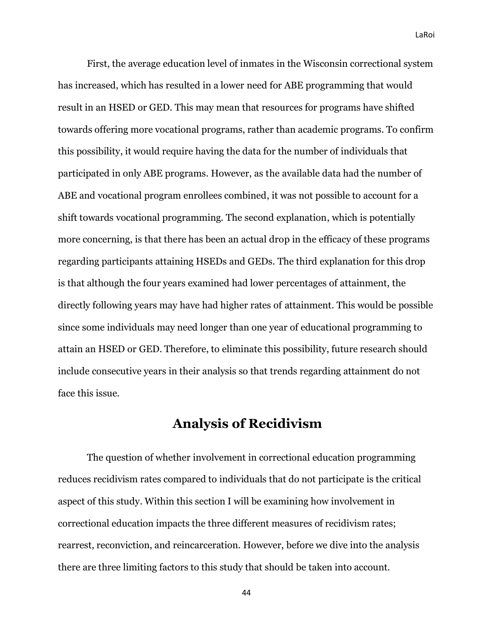First, the average education level of inmates in the Wisconsin correctional system has increased, which has resulted in a lower need for ABE programming that would result in an HSED or GED. This may mean that resources for programs have shifted towards offering more vocational programs, rather than academic programs. To confirm this possibility, it would require having the data for the number of individuals that participated in only ABE programs. However, as the available data had the number of ABE and vocational program enrollees combined, it was not possible to account for a shift towards vocational programming. The second explanation, which is potentially more concerning, is that there has been an actual drop in the efficacy of these programs regarding participants attaining HSEDs and GEDs. The third explanation for this drop is that although the four years examined had lower percentages of attainment, the directly following years may have had higher rates of attainment. This would be possible since some individuals may need longer than one year of educational programming to attain an HSED or GED. Therefore, to eliminate this possibility, future research should include consecutive years in their analysis so that trends regarding attainment do not face this issue.

## **Analysis of Recidivism**

The question of whether involvement in correctional education programming reduces recidivism rates compared to individuals that do not participate is the critical aspect of this study. Within this section I will be examining how involvement in correctional education impacts the three different measures of recidivism rates; rearrest, reconviction, and reincarceration. However, before we dive into the analysis there are three limiting factors to this study that should be taken into account.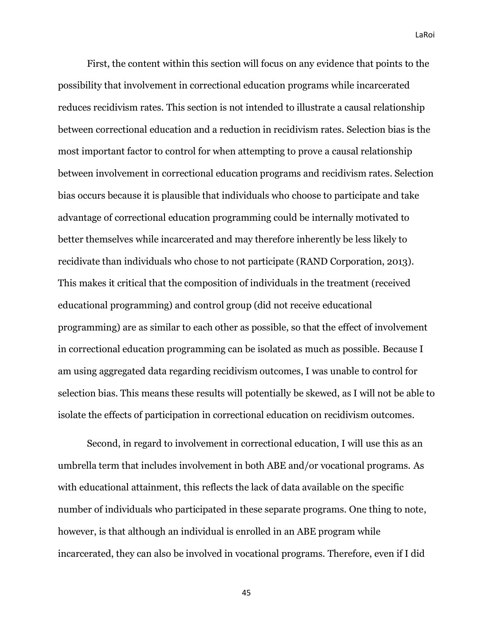First, the content within this section will focus on any evidence that points to the possibility that involvement in correctional education programs while incarcerated reduces recidivism rates. This section is not intended to illustrate a causal relationship between correctional education and a reduction in recidivism rates. Selection bias is the most important factor to control for when attempting to prove a causal relationship between involvement in correctional education programs and recidivism rates. Selection bias occurs because it is plausible that individuals who choose to participate and take advantage of correctional education programming could be internally motivated to better themselves while incarcerated and may therefore inherently be less likely to recidivate than individuals who chose to not participate (RAND Corporation, 2013). This makes it critical that the composition of individuals in the treatment (received educational programming) and control group (did not receive educational programming) are as similar to each other as possible, so that the effect of involvement in correctional education programming can be isolated as much as possible. Because I am using aggregated data regarding recidivism outcomes, I was unable to control for selection bias. This means these results will potentially be skewed, as I will not be able to isolate the effects of participation in correctional education on recidivism outcomes.

Second, in regard to involvement in correctional education, I will use this as an umbrella term that includes involvement in both ABE and/or vocational programs. As with educational attainment, this reflects the lack of data available on the specific number of individuals who participated in these separate programs. One thing to note, however, is that although an individual is enrolled in an ABE program while incarcerated, they can also be involved in vocational programs. Therefore, even if I did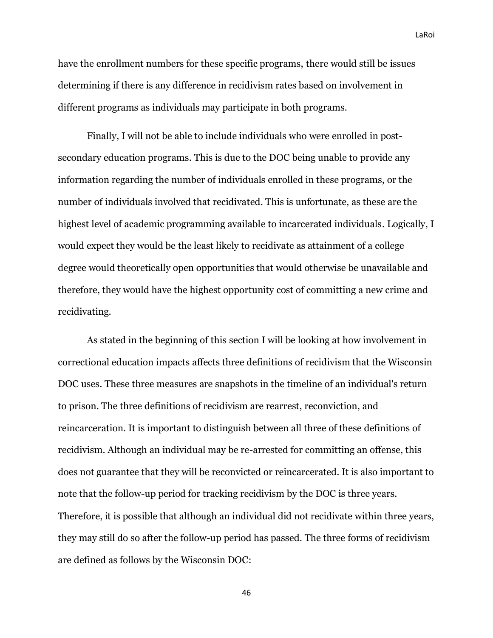have the enrollment numbers for these specific programs, there would still be issues determining if there is any difference in recidivism rates based on involvement in different programs as individuals may participate in both programs.

Finally, I will not be able to include individuals who were enrolled in postsecondary education programs. This is due to the DOC being unable to provide any information regarding the number of individuals enrolled in these programs, or the number of individuals involved that recidivated. This is unfortunate, as these are the highest level of academic programming available to incarcerated individuals. Logically, I would expect they would be the least likely to recidivate as attainment of a college degree would theoretically open opportunities that would otherwise be unavailable and therefore, they would have the highest opportunity cost of committing a new crime and recidivating.

As stated in the beginning of this section I will be looking at how involvement in correctional education impacts affects three definitions of recidivism that the Wisconsin DOC uses. These three measures are snapshots in the timeline of an individual's return to prison. The three definitions of recidivism are rearrest, reconviction, and reincarceration. It is important to distinguish between all three of these definitions of recidivism. Although an individual may be re-arrested for committing an offense, this does not guarantee that they will be reconvicted or reincarcerated. It is also important to note that the follow-up period for tracking recidivism by the DOC is three years. Therefore, it is possible that although an individual did not recidivate within three years, they may still do so after the follow-up period has passed. The three forms of recidivism are defined as follows by the Wisconsin DOC: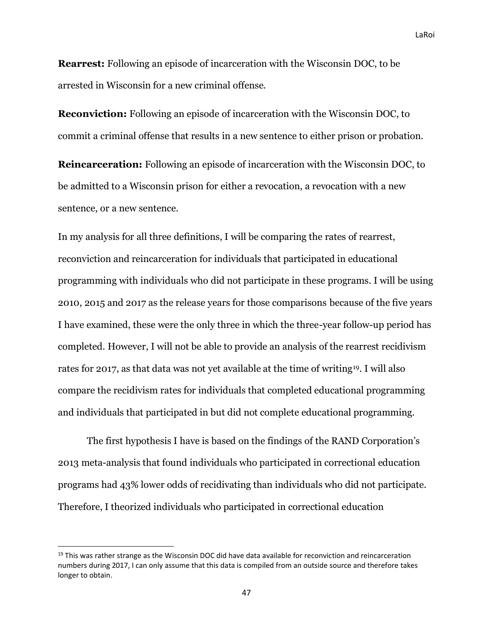**Rearrest:** Following an episode of incarceration with the Wisconsin DOC, to be arrested in Wisconsin for a new criminal offense.

**Reconviction:** Following an episode of incarceration with the Wisconsin DOC, to commit a criminal offense that results in a new sentence to either prison or probation.

**Reincarceration:** Following an episode of incarceration with the Wisconsin DOC, to be admitted to a Wisconsin prison for either a revocation, a revocation with a new sentence, or a new sentence.

In my analysis for all three definitions, I will be comparing the rates of rearrest, reconviction and reincarceration for individuals that participated in educational programming with individuals who did not participate in these programs. I will be using 2010, 2015 and 2017 as the release years for those comparisons because of the five years I have examined, these were the only three in which the three-year follow-up period has completed. However, I will not be able to provide an analysis of the rearrest recidivism rates for 2017, as that data was not yet available at the time of writing19. I will also compare the recidivism rates for individuals that completed educational programming and individuals that participated in but did not complete educational programming.

The first hypothesis I have is based on the findings of the RAND Corporation's 2013 meta-analysis that found individuals who participated in correctional education programs had 43% lower odds of recidivating than individuals who did not participate. Therefore, I theorized individuals who participated in correctional education

<sup>&</sup>lt;sup>19</sup> This was rather strange as the Wisconsin DOC did have data available for reconviction and reincarceration numbers during 2017, I can only assume that this data is compiled from an outside source and therefore takes longer to obtain.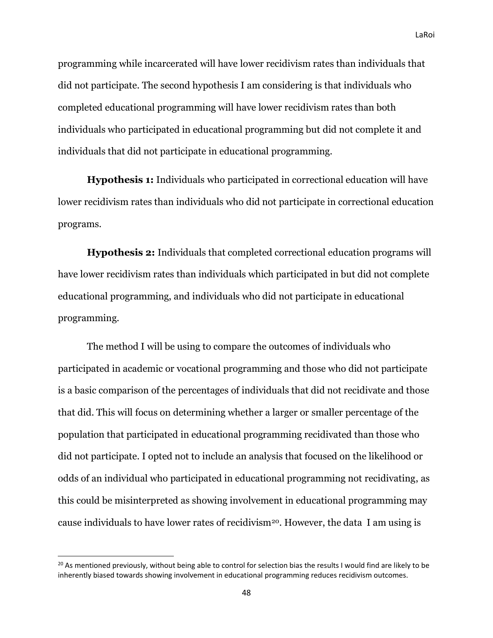programming while incarcerated will have lower recidivism rates than individuals that did not participate. The second hypothesis I am considering is that individuals who completed educational programming will have lower recidivism rates than both individuals who participated in educational programming but did not complete it and individuals that did not participate in educational programming.

**Hypothesis 1:** Individuals who participated in correctional education will have lower recidivism rates than individuals who did not participate in correctional education programs.

**Hypothesis 2:** Individuals that completed correctional education programs will have lower recidivism rates than individuals which participated in but did not complete educational programming, and individuals who did not participate in educational programming.

The method I will be using to compare the outcomes of individuals who participated in academic or vocational programming and those who did not participate is a basic comparison of the percentages of individuals that did not recidivate and those that did. This will focus on determining whether a larger or smaller percentage of the population that participated in educational programming recidivated than those who did not participate. I opted not to include an analysis that focused on the likelihood or odds of an individual who participated in educational programming not recidivating, as this could be misinterpreted as showing involvement in educational programming may cause individuals to have lower rates of recidivism20. However, the data I am using is

 $20$  As mentioned previously, without being able to control for selection bias the results I would find are likely to be inherently biased towards showing involvement in educational programming reduces recidivism outcomes.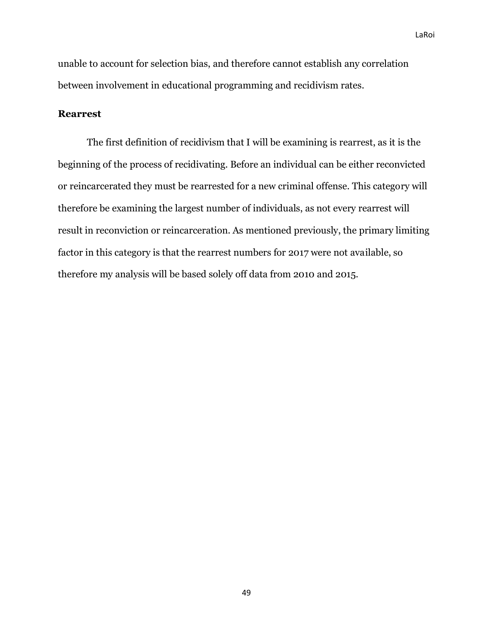unable to account for selection bias, and therefore cannot establish any correlation between involvement in educational programming and recidivism rates.

#### **Rearrest**

The first definition of recidivism that I will be examining is rearrest, as it is the beginning of the process of recidivating. Before an individual can be either reconvicted or reincarcerated they must be rearrested for a new criminal offense. This category will therefore be examining the largest number of individuals, as not every rearrest will result in reconviction or reincarceration. As mentioned previously, the primary limiting factor in this category is that the rearrest numbers for 2017 were not available, so therefore my analysis will be based solely off data from 2010 and 2015.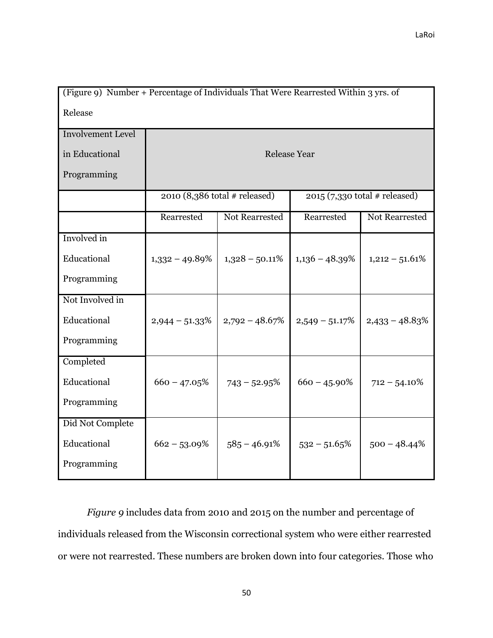| (Figure 9) Number + Percentage of Individuals That Were Rearrested Within 3 yrs. of |                   |                                 |                     |                                 |  |  |
|-------------------------------------------------------------------------------------|-------------------|---------------------------------|---------------------|---------------------------------|--|--|
| Release                                                                             |                   |                                 |                     |                                 |  |  |
| <b>Involvement Level</b>                                                            |                   |                                 |                     |                                 |  |  |
| in Educational                                                                      |                   |                                 | <b>Release Year</b> |                                 |  |  |
| Programming                                                                         |                   |                                 |                     |                                 |  |  |
|                                                                                     |                   | $2010$ (8,386 total # released) |                     | $2015$ (7,330 total # released) |  |  |
|                                                                                     | Rearrested        | Not Rearrested                  | Rearrested          | Not Rearrested                  |  |  |
| Involved in                                                                         |                   |                                 |                     |                                 |  |  |
| Educational                                                                         | $1,332 - 49.89\%$ | $1,328 - 50.11\%$               | $1,136 - 48.39\%$   | $1,212 - 51.61\%$               |  |  |
| Programming                                                                         |                   |                                 |                     |                                 |  |  |
| Not Involved in                                                                     |                   |                                 |                     |                                 |  |  |
| Educational                                                                         | $2,944 - 51.33\%$ | $2,792 - 48.67\%$               | $2,549 - 51.17\%$   | $2,433 - 48.83\%$               |  |  |
| Programming                                                                         |                   |                                 |                     |                                 |  |  |
| Completed                                                                           |                   |                                 |                     |                                 |  |  |
| Educational                                                                         | $660 - 47.05\%$   | $743 - 52.95%$                  | $660 - 45.90\%$     | $712 - 54.10\%$                 |  |  |
| Programming                                                                         |                   |                                 |                     |                                 |  |  |
| Did Not Complete                                                                    |                   |                                 |                     |                                 |  |  |
| Educational                                                                         | $662 - 53.09\%$   | $585 - 46.91\%$                 | $532 - 51.65\%$     | $500 - 48.44\%$                 |  |  |
| Programming                                                                         |                   |                                 |                     |                                 |  |  |

*Figure 9* includes data from 2010 and 2015 on the number and percentage of individuals released from the Wisconsin correctional system who were either rearrested or were not rearrested. These numbers are broken down into four categories. Those who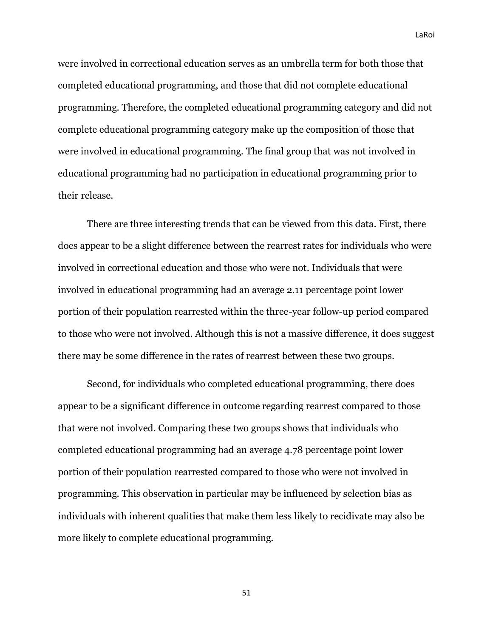were involved in correctional education serves as an umbrella term for both those that completed educational programming, and those that did not complete educational programming. Therefore, the completed educational programming category and did not complete educational programming category make up the composition of those that were involved in educational programming. The final group that was not involved in educational programming had no participation in educational programming prior to their release.

There are three interesting trends that can be viewed from this data. First, there does appear to be a slight difference between the rearrest rates for individuals who were involved in correctional education and those who were not. Individuals that were involved in educational programming had an average 2.11 percentage point lower portion of their population rearrested within the three-year follow-up period compared to those who were not involved. Although this is not a massive difference, it does suggest there may be some difference in the rates of rearrest between these two groups.

Second, for individuals who completed educational programming, there does appear to be a significant difference in outcome regarding rearrest compared to those that were not involved. Comparing these two groups shows that individuals who completed educational programming had an average 4.78 percentage point lower portion of their population rearrested compared to those who were not involved in programming. This observation in particular may be influenced by selection bias as individuals with inherent qualities that make them less likely to recidivate may also be more likely to complete educational programming.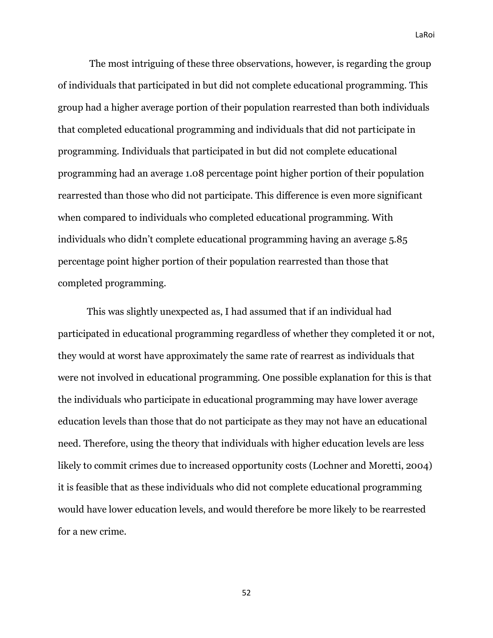The most intriguing of these three observations, however, is regarding the group of individuals that participated in but did not complete educational programming. This group had a higher average portion of their population rearrested than both individuals that completed educational programming and individuals that did not participate in programming. Individuals that participated in but did not complete educational programming had an average 1.08 percentage point higher portion of their population rearrested than those who did not participate. This difference is even more significant when compared to individuals who completed educational programming. With individuals who didn't complete educational programming having an average 5.85 percentage point higher portion of their population rearrested than those that completed programming.

This was slightly unexpected as, I had assumed that if an individual had participated in educational programming regardless of whether they completed it or not, they would at worst have approximately the same rate of rearrest as individuals that were not involved in educational programming. One possible explanation for this is that the individuals who participate in educational programming may have lower average education levels than those that do not participate as they may not have an educational need. Therefore, using the theory that individuals with higher education levels are less likely to commit crimes due to increased opportunity costs (Lochner and Moretti, 2004) it is feasible that as these individuals who did not complete educational programming would have lower education levels, and would therefore be more likely to be rearrested for a new crime.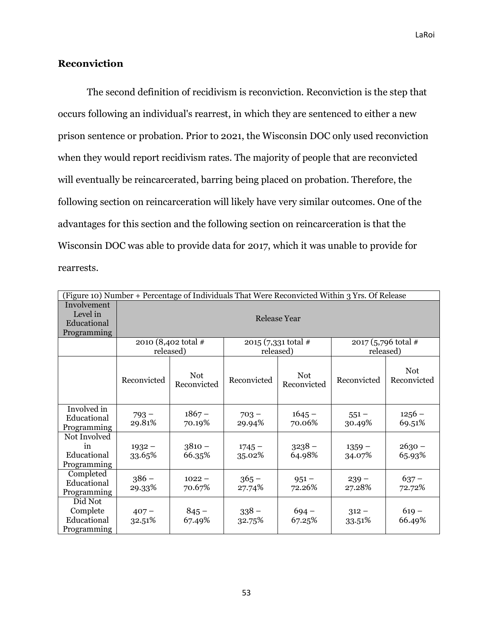## **Reconviction**

The second definition of recidivism is reconviction. Reconviction is the step that occurs following an individual's rearrest, in which they are sentenced to either a new prison sentence or probation. Prior to 2021, the Wisconsin DOC only used reconviction when they would report recidivism rates. The majority of people that are reconvicted will eventually be reincarcerated, barring being placed on probation. Therefore, the following section on reincarceration will likely have very similar outcomes. One of the advantages for this section and the following section on reincarceration is that the Wisconsin DOC was able to provide data for 2017, which it was unable to provide for rearrests.

|                                                       | (Figure 10) Number + Percentage of Individuals That Were Reconvicted Within 3 Yrs. Of Release                          |                           |                    |                           |                    |                           |  |
|-------------------------------------------------------|------------------------------------------------------------------------------------------------------------------------|---------------------------|--------------------|---------------------------|--------------------|---------------------------|--|
| Involvement<br>Level in<br>Educational<br>Programming | <b>Release Year</b>                                                                                                    |                           |                    |                           |                    |                           |  |
|                                                       | 2010 (8,402 total #<br>$2015 (7,331 \text{ total } \#$<br>$2017$ (5,796 total #<br>released)<br>released)<br>released) |                           |                    |                           |                    |                           |  |
|                                                       | Reconvicted                                                                                                            | <b>Not</b><br>Reconvicted | Reconvicted        | <b>Not</b><br>Reconvicted | Reconvicted        | <b>Not</b><br>Reconvicted |  |
| Involved in<br>Educational<br>Programming             | $793 -$<br>29.81%                                                                                                      | $1867 -$<br>70.19%        | $703 -$<br>29.94%  | $1645 -$<br>70.06%        | $551 -$<br>30.49%  | $1256 -$<br>69.51%        |  |
| Not Involved<br>in<br>Educational<br>Programming      | $1932 -$<br>33.65%                                                                                                     | $3810 -$<br>66.35%        | $1745 -$<br>35.02% | $3238 -$<br>64.98%        | $1359 -$<br>34.07% | $2630 -$<br>65.93%        |  |
| Completed<br>Educational<br>Programming               | $386 -$<br>29.33%                                                                                                      | $1022 -$<br>70.67%        | $365 -$<br>27.74%  | $951 -$<br>72.26%         | $239 -$<br>27.28%  | $637 -$<br>72.72%         |  |
| Did Not<br>Complete<br>Educational<br>Programming     | $407 -$<br>32.51%                                                                                                      | $845 -$<br>67.49%         | $338 -$<br>32.75%  | $694 -$<br>67.25%         | $312 -$<br>33.51%  | $619 -$<br>66.49%         |  |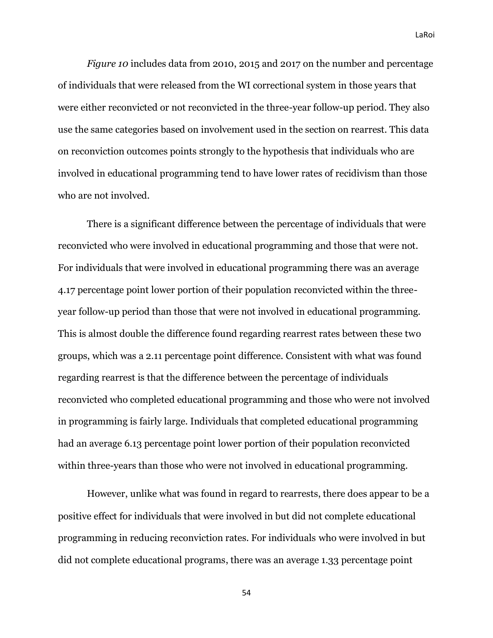*Figure 10* includes data from 2010, 2015 and 2017 on the number and percentage of individuals that were released from the WI correctional system in those years that were either reconvicted or not reconvicted in the three-year follow-up period. They also use the same categories based on involvement used in the section on rearrest. This data on reconviction outcomes points strongly to the hypothesis that individuals who are involved in educational programming tend to have lower rates of recidivism than those who are not involved.

There is a significant difference between the percentage of individuals that were reconvicted who were involved in educational programming and those that were not. For individuals that were involved in educational programming there was an average 4.17 percentage point lower portion of their population reconvicted within the threeyear follow-up period than those that were not involved in educational programming. This is almost double the difference found regarding rearrest rates between these two groups, which was a 2.11 percentage point difference. Consistent with what was found regarding rearrest is that the difference between the percentage of individuals reconvicted who completed educational programming and those who were not involved in programming is fairly large. Individuals that completed educational programming had an average 6.13 percentage point lower portion of their population reconvicted within three-years than those who were not involved in educational programming.

However, unlike what was found in regard to rearrests, there does appear to be a positive effect for individuals that were involved in but did not complete educational programming in reducing reconviction rates. For individuals who were involved in but did not complete educational programs, there was an average 1.33 percentage point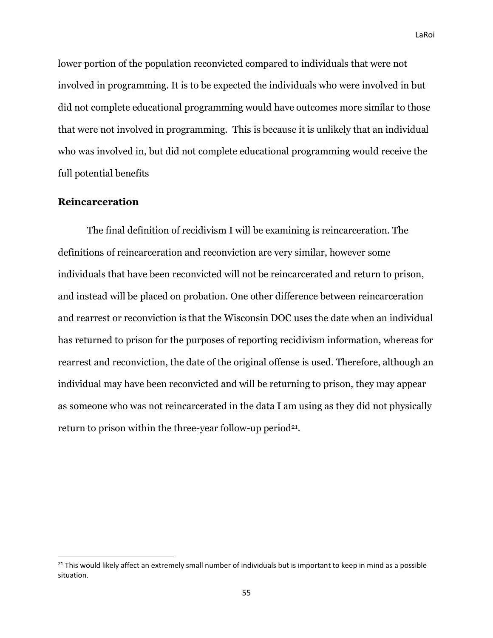lower portion of the population reconvicted compared to individuals that were not involved in programming. It is to be expected the individuals who were involved in but did not complete educational programming would have outcomes more similar to those that were not involved in programming. This is because it is unlikely that an individual who was involved in, but did not complete educational programming would receive the full potential benefits

### **Reincarceration**

The final definition of recidivism I will be examining is reincarceration. The definitions of reincarceration and reconviction are very similar, however some individuals that have been reconvicted will not be reincarcerated and return to prison, and instead will be placed on probation. One other difference between reincarceration and rearrest or reconviction is that the Wisconsin DOC uses the date when an individual has returned to prison for the purposes of reporting recidivism information, whereas for rearrest and reconviction, the date of the original offense is used. Therefore, although an individual may have been reconvicted and will be returning to prison, they may appear as someone who was not reincarcerated in the data I am using as they did not physically return to prison within the three-year follow-up period<sup>21</sup>.

<sup>&</sup>lt;sup>21</sup> This would likely affect an extremely small number of individuals but is important to keep in mind as a possible situation.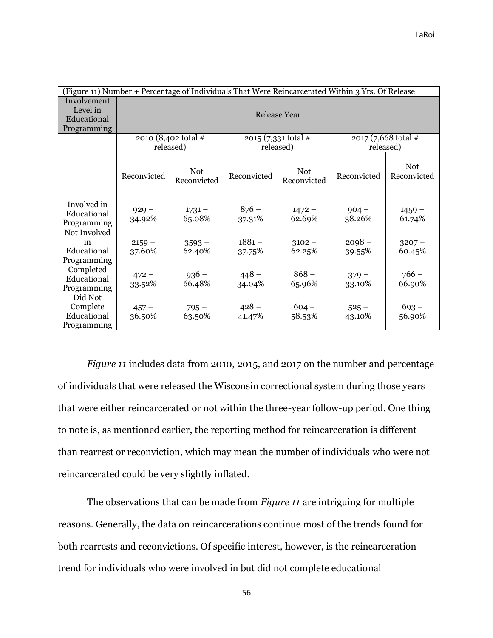| (Figure 11) Number + Percentage of Individuals That Were Reincarcerated Within 3 Yrs. Of Release |                     |                           |                    |                                |                     |                           |
|--------------------------------------------------------------------------------------------------|---------------------|---------------------------|--------------------|--------------------------------|---------------------|---------------------------|
| Involvement<br>Level in<br>Educational<br>Programming                                            | <b>Release Year</b> |                           |                    |                                |                     |                           |
|                                                                                                  |                     | 2010 (8,402 total #       |                    | $2015 (7,331 \text{ total} \#$ | 2017 (7,668 total # |                           |
|                                                                                                  |                     | released)                 | released)          |                                | released)           |                           |
|                                                                                                  | Reconvicted         | <b>Not</b><br>Reconvicted | Reconvicted        | <b>Not</b><br>Reconvicted      | Reconvicted         | <b>Not</b><br>Reconvicted |
| Involved in<br>Educational<br>Programming                                                        | $929 -$<br>34.92%   | $1731 -$<br>65.08%        | $876 -$<br>37.31%  | $1472 -$<br>62.69%             | $904 -$<br>38.26%   | $1459 -$<br>61.74%        |
| Not Involved<br>in<br>Educational<br>Programming                                                 | $2159 -$<br>37.60%  | $3593 -$<br>62.40%        | $1881 -$<br>37.75% | $3102 -$<br>62.25%             | $2098 -$<br>39.55%  | $3207 -$<br>60.45%        |
| Completed<br>Educational<br>Programming                                                          | $472 -$<br>33.52%   | $936 -$<br>66.48%         | $448 -$<br>34.04%  | $868 -$<br>65.96%              | $379 -$<br>33.10%   | $766 -$<br>66.90%         |
| Did Not<br>Complete<br>Educational<br>Programming                                                | $457 -$<br>36.50%   | $795 -$<br>63.50%         | $428 -$<br>41.47%  | $604 -$<br>58.53%              | $525 -$<br>43.10%   | $693 -$<br>56.90%         |

*Figure 11* includes data from 2010, 2015, and 2017 on the number and percentage of individuals that were released the Wisconsin correctional system during those years that were either reincarcerated or not within the three-year follow-up period. One thing to note is, as mentioned earlier, the reporting method for reincarceration is different than rearrest or reconviction, which may mean the number of individuals who were not reincarcerated could be very slightly inflated.

The observations that can be made from *Figure 11* are intriguing for multiple reasons. Generally, the data on reincarcerations continue most of the trends found for both rearrests and reconvictions. Of specific interest, however, is the reincarceration trend for individuals who were involved in but did not complete educational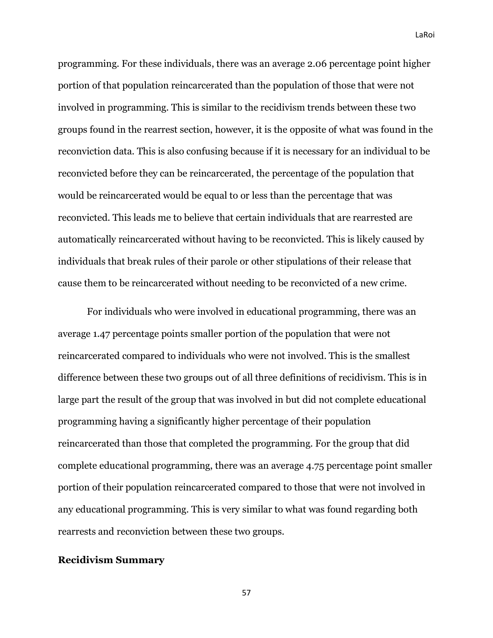programming. For these individuals, there was an average 2.06 percentage point higher portion of that population reincarcerated than the population of those that were not involved in programming. This is similar to the recidivism trends between these two groups found in the rearrest section, however, it is the opposite of what was found in the reconviction data. This is also confusing because if it is necessary for an individual to be reconvicted before they can be reincarcerated, the percentage of the population that would be reincarcerated would be equal to or less than the percentage that was reconvicted. This leads me to believe that certain individuals that are rearrested are automatically reincarcerated without having to be reconvicted. This is likely caused by individuals that break rules of their parole or other stipulations of their release that cause them to be reincarcerated without needing to be reconvicted of a new crime.

For individuals who were involved in educational programming, there was an average 1.47 percentage points smaller portion of the population that were not reincarcerated compared to individuals who were not involved. This is the smallest difference between these two groups out of all three definitions of recidivism. This is in large part the result of the group that was involved in but did not complete educational programming having a significantly higher percentage of their population reincarcerated than those that completed the programming. For the group that did complete educational programming, there was an average 4.75 percentage point smaller portion of their population reincarcerated compared to those that were not involved in any educational programming. This is very similar to what was found regarding both rearrests and reconviction between these two groups.

#### **Recidivism Summary**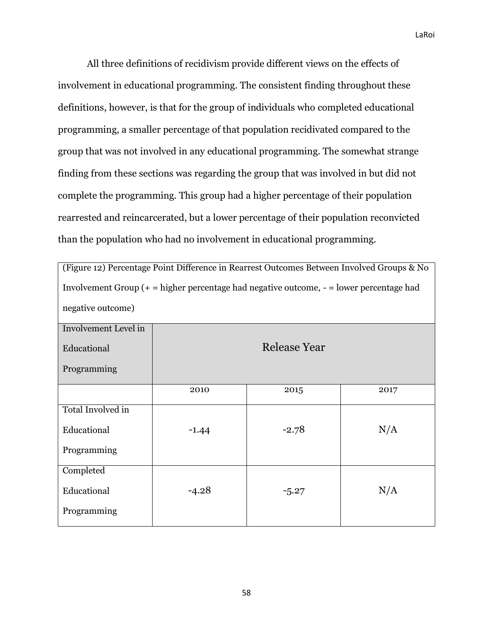All three definitions of recidivism provide different views on the effects of involvement in educational programming. The consistent finding throughout these definitions, however, is that for the group of individuals who completed educational programming, a smaller percentage of that population recidivated compared to the group that was not involved in any educational programming. The somewhat strange finding from these sections was regarding the group that was involved in but did not complete the programming. This group had a higher percentage of their population rearrested and reincarcerated, but a lower percentage of their population reconvicted than the population who had no involvement in educational programming.

| (Figure 12) Percentage Point Difference in Rearrest Outcomes Between Involved Groups & No    |         |              |      |  |  |
|----------------------------------------------------------------------------------------------|---------|--------------|------|--|--|
| Involvement Group $(+)$ = higher percentage had negative outcome, $-$ = lower percentage had |         |              |      |  |  |
| negative outcome)                                                                            |         |              |      |  |  |
| Involvement Level in                                                                         |         |              |      |  |  |
| Educational                                                                                  |         | Release Year |      |  |  |
| Programming                                                                                  |         |              |      |  |  |
|                                                                                              | 2010    | 2015         | 2017 |  |  |
| Total Involved in                                                                            |         |              |      |  |  |
| Educational                                                                                  | $-1.44$ | $-2.78$      | N/A  |  |  |
| Programming                                                                                  |         |              |      |  |  |
| Completed                                                                                    |         |              |      |  |  |
| Educational                                                                                  | $-4.28$ | $-5.27$      | N/A  |  |  |
| Programming                                                                                  |         |              |      |  |  |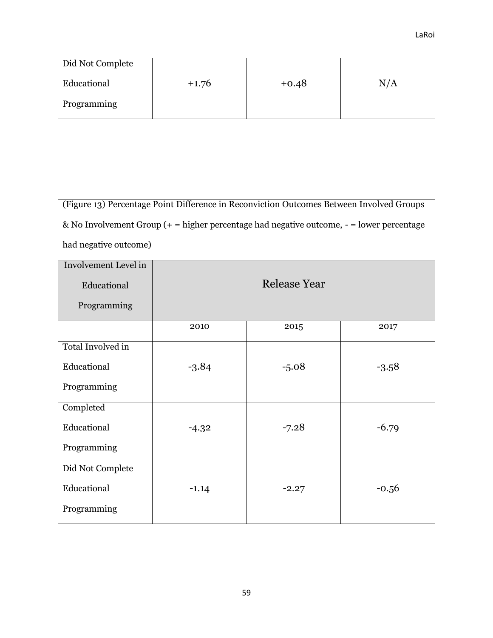| (Figure 13) Percentage Point Difference in Reconviction Outcomes Between Involved Groups      |                       |                     |         |  |  |  |
|-----------------------------------------------------------------------------------------------|-----------------------|---------------------|---------|--|--|--|
| & No Involvement Group $(+)$ = higher percentage had negative outcome, $-$ = lower percentage |                       |                     |         |  |  |  |
|                                                                                               | had negative outcome) |                     |         |  |  |  |
| <b>Involvement Level in</b>                                                                   |                       |                     |         |  |  |  |
| Educational                                                                                   |                       | <b>Release Year</b> |         |  |  |  |
| Programming                                                                                   |                       |                     |         |  |  |  |
|                                                                                               | 2010                  | 2015                | 2017    |  |  |  |
| Total Involved in                                                                             |                       |                     |         |  |  |  |
| Educational                                                                                   | $-3.84$               | $-5.08$             | $-3.58$ |  |  |  |
| Programming                                                                                   |                       |                     |         |  |  |  |
| Completed                                                                                     |                       |                     |         |  |  |  |
| Educational                                                                                   | $-4.32$               | $-7.28$             | $-6.79$ |  |  |  |
| Programming                                                                                   |                       |                     |         |  |  |  |
| Did Not Complete                                                                              |                       |                     |         |  |  |  |
| Educational                                                                                   | $-1.14$               | $-2.27$             | $-0.56$ |  |  |  |
| Programming                                                                                   |                       |                     |         |  |  |  |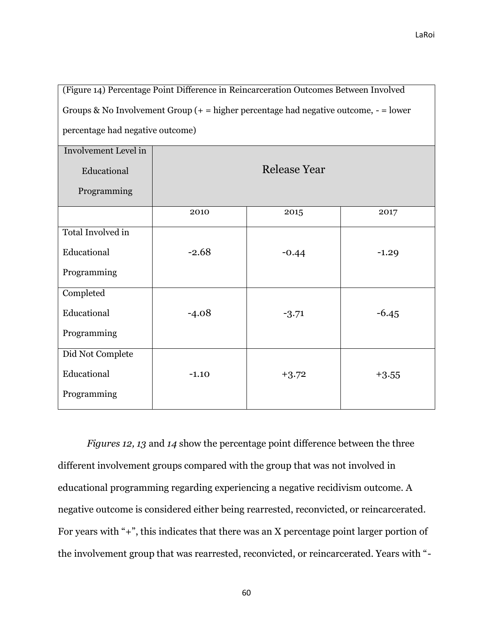٦

| (Figure 14) Percentage Point Difference in Reincarceration Outcomes Between Involved      |                                  |                     |         |  |  |  |
|-------------------------------------------------------------------------------------------|----------------------------------|---------------------|---------|--|--|--|
| Groups & No Involvement Group $(+)$ = higher percentage had negative outcome, $-$ = lower |                                  |                     |         |  |  |  |
|                                                                                           | percentage had negative outcome) |                     |         |  |  |  |
| <b>Involvement Level in</b>                                                               |                                  |                     |         |  |  |  |
| Educational                                                                               |                                  | <b>Release Year</b> |         |  |  |  |
| Programming                                                                               |                                  |                     |         |  |  |  |
|                                                                                           | 2010                             | 2015                | 2017    |  |  |  |
| Total Involved in                                                                         |                                  |                     |         |  |  |  |
| Educational                                                                               | $-2.68$                          | $-0.44$             | $-1.29$ |  |  |  |
| Programming                                                                               |                                  |                     |         |  |  |  |
| Completed                                                                                 |                                  |                     |         |  |  |  |
| Educational                                                                               | $-4.08$                          | $-3.71$             | $-6.45$ |  |  |  |
| Programming                                                                               |                                  |                     |         |  |  |  |
| Did Not Complete                                                                          |                                  |                     |         |  |  |  |
| Educational                                                                               | $-1.10$<br>$+3.72$<br>$+3.55$    |                     |         |  |  |  |
| Programming                                                                               |                                  |                     |         |  |  |  |

*Figures 12, 13* and *14* show the percentage point difference between the three different involvement groups compared with the group that was not involved in educational programming regarding experiencing a negative recidivism outcome. A negative outcome is considered either being rearrested, reconvicted, or reincarcerated. For years with "+", this indicates that there was an X percentage point larger portion of the involvement group that was rearrested, reconvicted, or reincarcerated. Years with "-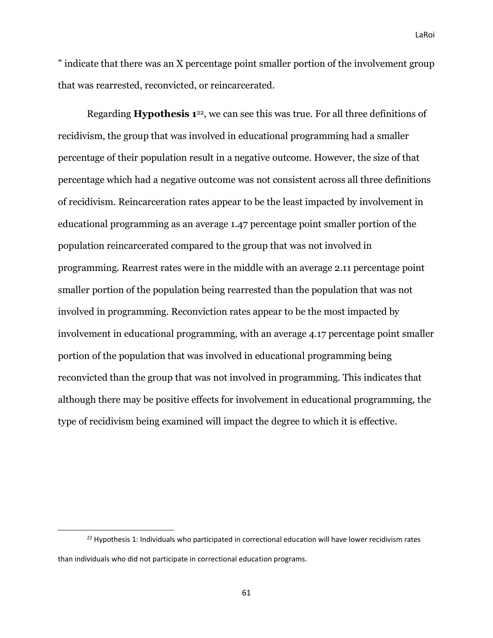" indicate that there was an X percentage point smaller portion of the involvement group that was rearrested, reconvicted, or reincarcerated.

Regarding **Hypothesis 1**22, we can see this was true. For all three definitions of recidivism, the group that was involved in educational programming had a smaller percentage of their population result in a negative outcome. However, the size of that percentage which had a negative outcome was not consistent across all three definitions of recidivism. Reincarceration rates appear to be the least impacted by involvement in educational programming as an average 1.47 percentage point smaller portion of the population reincarcerated compared to the group that was not involved in programming. Rearrest rates were in the middle with an average 2.11 percentage point smaller portion of the population being rearrested than the population that was not involved in programming. Reconviction rates appear to be the most impacted by involvement in educational programming, with an average 4.17 percentage point smaller portion of the population that was involved in educational programming being reconvicted than the group that was not involved in programming. This indicates that although there may be positive effects for involvement in educational programming, the type of recidivism being examined will impact the degree to which it is effective.

<sup>&</sup>lt;sup>22</sup> Hypothesis 1: Individuals who participated in correctional education will have lower recidivism rates than individuals who did not participate in correctional education programs.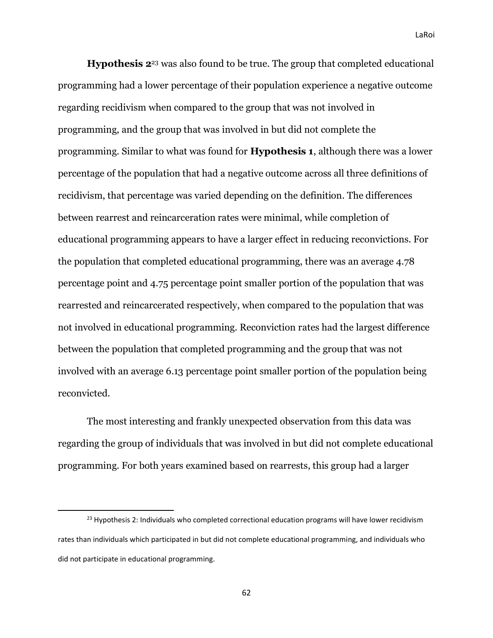**Hypothesis 2**<sup>23</sup> was also found to be true. The group that completed educational programming had a lower percentage of their population experience a negative outcome regarding recidivism when compared to the group that was not involved in programming, and the group that was involved in but did not complete the programming. Similar to what was found for **Hypothesis 1**, although there was a lower percentage of the population that had a negative outcome across all three definitions of recidivism, that percentage was varied depending on the definition. The differences between rearrest and reincarceration rates were minimal, while completion of educational programming appears to have a larger effect in reducing reconvictions. For the population that completed educational programming, there was an average 4.78 percentage point and 4.75 percentage point smaller portion of the population that was rearrested and reincarcerated respectively, when compared to the population that was not involved in educational programming. Reconviction rates had the largest difference between the population that completed programming and the group that was not involved with an average 6.13 percentage point smaller portion of the population being reconvicted.

The most interesting and frankly unexpected observation from this data was regarding the group of individuals that was involved in but did not complete educational programming. For both years examined based on rearrests, this group had a larger

<sup>&</sup>lt;sup>23</sup> Hypothesis 2: Individuals who completed correctional education programs will have lower recidivism rates than individuals which participated in but did not complete educational programming, and individuals who did not participate in educational programming.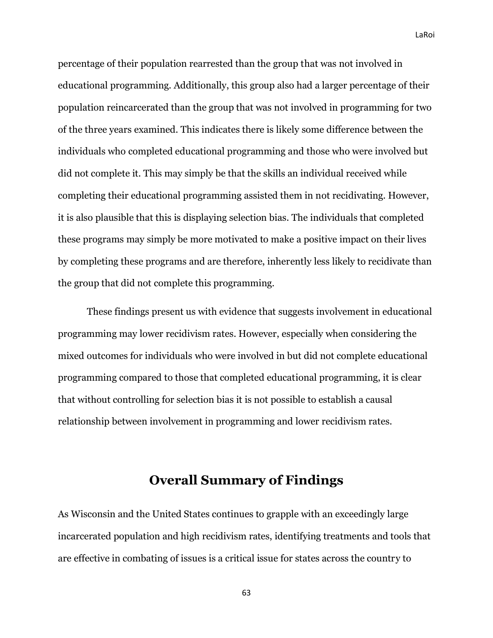percentage of their population rearrested than the group that was not involved in educational programming. Additionally, this group also had a larger percentage of their population reincarcerated than the group that was not involved in programming for two of the three years examined. This indicates there is likely some difference between the individuals who completed educational programming and those who were involved but did not complete it. This may simply be that the skills an individual received while completing their educational programming assisted them in not recidivating. However, it is also plausible that this is displaying selection bias. The individuals that completed these programs may simply be more motivated to make a positive impact on their lives by completing these programs and are therefore, inherently less likely to recidivate than the group that did not complete this programming.

These findings present us with evidence that suggests involvement in educational programming may lower recidivism rates. However, especially when considering the mixed outcomes for individuals who were involved in but did not complete educational programming compared to those that completed educational programming, it is clear that without controlling for selection bias it is not possible to establish a causal relationship between involvement in programming and lower recidivism rates.

# **Overall Summary of Findings**

As Wisconsin and the United States continues to grapple with an exceedingly large incarcerated population and high recidivism rates, identifying treatments and tools that are effective in combating of issues is a critical issue for states across the country to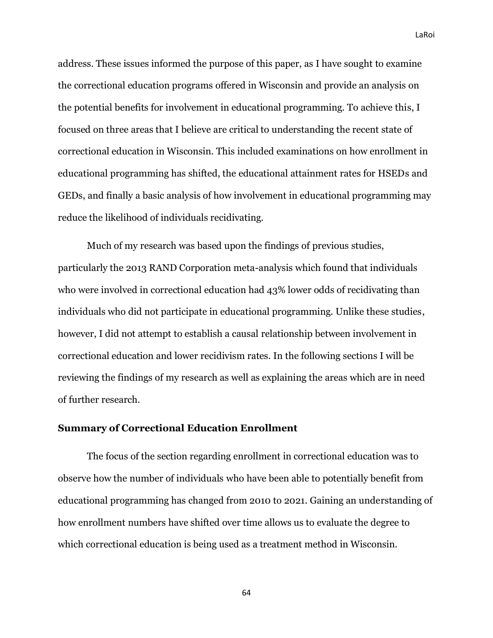address. These issues informed the purpose of this paper, as I have sought to examine the correctional education programs offered in Wisconsin and provide an analysis on the potential benefits for involvement in educational programming. To achieve this, I focused on three areas that I believe are critical to understanding the recent state of correctional education in Wisconsin. This included examinations on how enrollment in educational programming has shifted, the educational attainment rates for HSEDs and GEDs, and finally a basic analysis of how involvement in educational programming may reduce the likelihood of individuals recidivating.

Much of my research was based upon the findings of previous studies, particularly the 2013 RAND Corporation meta-analysis which found that individuals who were involved in correctional education had 43% lower odds of recidivating than individuals who did not participate in educational programming. Unlike these studies, however, I did not attempt to establish a causal relationship between involvement in correctional education and lower recidivism rates. In the following sections I will be reviewing the findings of my research as well as explaining the areas which are in need of further research.

#### **Summary of Correctional Education Enrollment**

The focus of the section regarding enrollment in correctional education was to observe how the number of individuals who have been able to potentially benefit from educational programming has changed from 2010 to 2021. Gaining an understanding of how enrollment numbers have shifted over time allows us to evaluate the degree to which correctional education is being used as a treatment method in Wisconsin.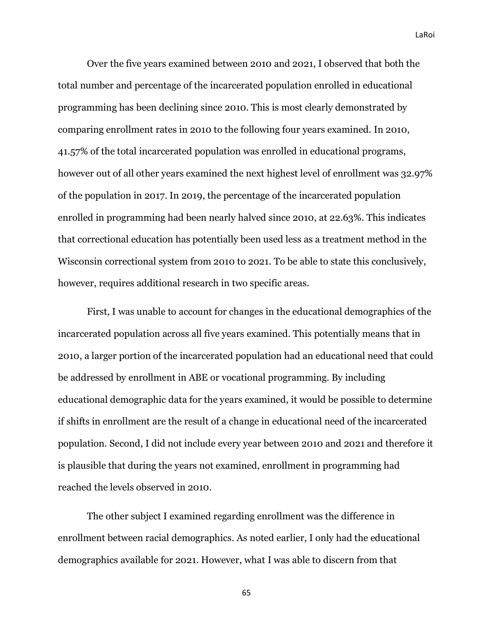Over the five years examined between 2010 and 2021, I observed that both the total number and percentage of the incarcerated population enrolled in educational programming has been declining since 2010. This is most clearly demonstrated by comparing enrollment rates in 2010 to the following four years examined. In 2010, 41.57% of the total incarcerated population was enrolled in educational programs, however out of all other years examined the next highest level of enrollment was 32.97% of the population in 2017. In 2019, the percentage of the incarcerated population enrolled in programming had been nearly halved since 2010, at 22.63%. This indicates that correctional education has potentially been used less as a treatment method in the Wisconsin correctional system from 2010 to 2021. To be able to state this conclusively, however, requires additional research in two specific areas.

First, I was unable to account for changes in the educational demographics of the incarcerated population across all five years examined. This potentially means that in 2010, a larger portion of the incarcerated population had an educational need that could be addressed by enrollment in ABE or vocational programming. By including educational demographic data for the years examined, it would be possible to determine if shifts in enrollment are the result of a change in educational need of the incarcerated population. Second, I did not include every year between 2010 and 2021 and therefore it is plausible that during the years not examined, enrollment in programming had reached the levels observed in 2010.

The other subject I examined regarding enrollment was the difference in enrollment between racial demographics. As noted earlier, I only had the educational demographics available for 2021. However, what I was able to discern from that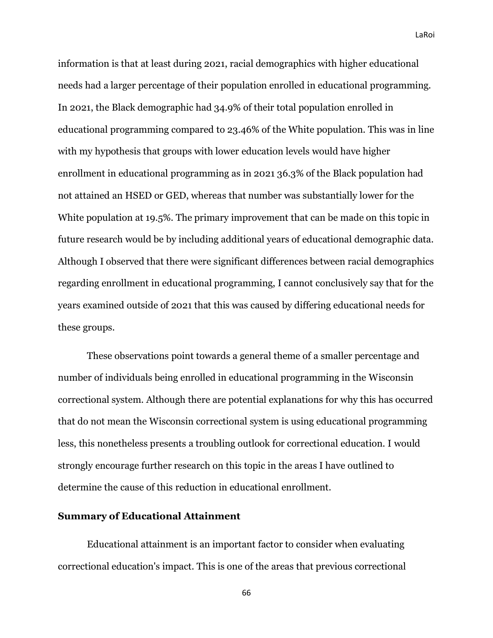information is that at least during 2021, racial demographics with higher educational needs had a larger percentage of their population enrolled in educational programming. In 2021, the Black demographic had 34.9% of their total population enrolled in educational programming compared to 23.46% of the White population. This was in line with my hypothesis that groups with lower education levels would have higher enrollment in educational programming as in 2021 36.3% of the Black population had not attained an HSED or GED, whereas that number was substantially lower for the White population at 19.5%. The primary improvement that can be made on this topic in future research would be by including additional years of educational demographic data. Although I observed that there were significant differences between racial demographics regarding enrollment in educational programming, I cannot conclusively say that for the years examined outside of 2021 that this was caused by differing educational needs for these groups.

These observations point towards a general theme of a smaller percentage and number of individuals being enrolled in educational programming in the Wisconsin correctional system. Although there are potential explanations for why this has occurred that do not mean the Wisconsin correctional system is using educational programming less, this nonetheless presents a troubling outlook for correctional education. I would strongly encourage further research on this topic in the areas I have outlined to determine the cause of this reduction in educational enrollment.

### **Summary of Educational Attainment**

Educational attainment is an important factor to consider when evaluating correctional education's impact. This is one of the areas that previous correctional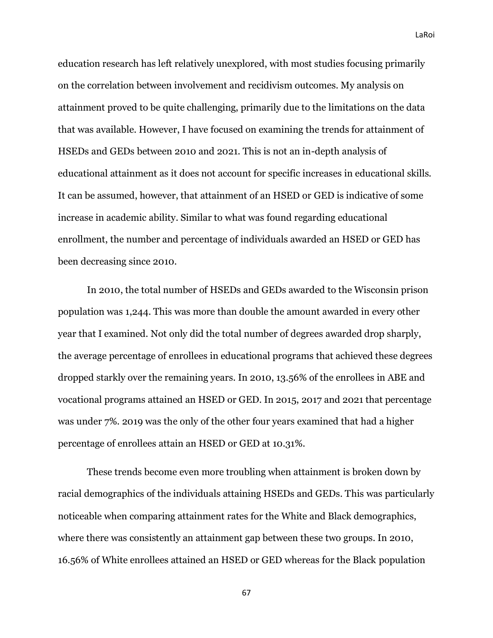education research has left relatively unexplored, with most studies focusing primarily on the correlation between involvement and recidivism outcomes. My analysis on attainment proved to be quite challenging, primarily due to the limitations on the data that was available. However, I have focused on examining the trends for attainment of HSEDs and GEDs between 2010 and 2021. This is not an in-depth analysis of educational attainment as it does not account for specific increases in educational skills. It can be assumed, however, that attainment of an HSED or GED is indicative of some increase in academic ability. Similar to what was found regarding educational enrollment, the number and percentage of individuals awarded an HSED or GED has been decreasing since 2010.

In 2010, the total number of HSEDs and GEDs awarded to the Wisconsin prison population was 1,244. This was more than double the amount awarded in every other year that I examined. Not only did the total number of degrees awarded drop sharply, the average percentage of enrollees in educational programs that achieved these degrees dropped starkly over the remaining years. In 2010, 13.56% of the enrollees in ABE and vocational programs attained an HSED or GED. In 2015, 2017 and 2021 that percentage was under 7%. 2019 was the only of the other four years examined that had a higher percentage of enrollees attain an HSED or GED at 10.31%.

These trends become even more troubling when attainment is broken down by racial demographics of the individuals attaining HSEDs and GEDs. This was particularly noticeable when comparing attainment rates for the White and Black demographics, where there was consistently an attainment gap between these two groups. In 2010, 16.56% of White enrollees attained an HSED or GED whereas for the Black population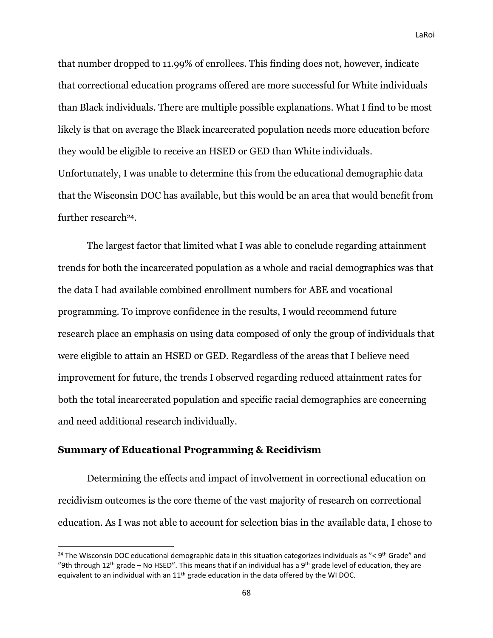that number dropped to 11.99% of enrollees. This finding does not, however, indicate that correctional education programs offered are more successful for White individuals than Black individuals. There are multiple possible explanations. What I find to be most likely is that on average the Black incarcerated population needs more education before they would be eligible to receive an HSED or GED than White individuals. Unfortunately, I was unable to determine this from the educational demographic data that the Wisconsin DOC has available, but this would be an area that would benefit from further research24.

The largest factor that limited what I was able to conclude regarding attainment trends for both the incarcerated population as a whole and racial demographics was that the data I had available combined enrollment numbers for ABE and vocational programming. To improve confidence in the results, I would recommend future research place an emphasis on using data composed of only the group of individuals that were eligible to attain an HSED or GED. Regardless of the areas that I believe need improvement for future, the trends I observed regarding reduced attainment rates for both the total incarcerated population and specific racial demographics are concerning and need additional research individually.

### **Summary of Educational Programming & Recidivism**

Determining the effects and impact of involvement in correctional education on recidivism outcomes is the core theme of the vast majority of research on correctional education. As I was not able to account for selection bias in the available data, I chose to

<sup>&</sup>lt;sup>24</sup> The Wisconsin DOC educational demographic data in this situation categorizes individuals as "< 9<sup>th</sup> Grade" and "9th through 12<sup>th</sup> grade – No HSED". This means that if an individual has a 9<sup>th</sup> grade level of education, they are equivalent to an individual with an 11<sup>th</sup> grade education in the data offered by the WI DOC.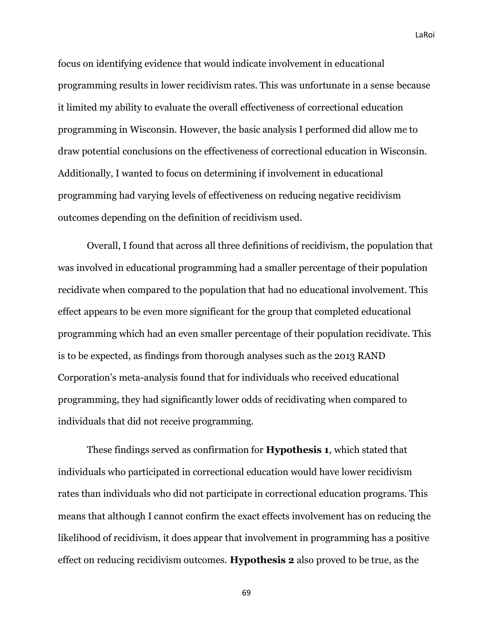focus on identifying evidence that would indicate involvement in educational programming results in lower recidivism rates. This was unfortunate in a sense because it limited my ability to evaluate the overall effectiveness of correctional education programming in Wisconsin. However, the basic analysis I performed did allow me to draw potential conclusions on the effectiveness of correctional education in Wisconsin. Additionally, I wanted to focus on determining if involvement in educational programming had varying levels of effectiveness on reducing negative recidivism outcomes depending on the definition of recidivism used.

Overall, I found that across all three definitions of recidivism, the population that was involved in educational programming had a smaller percentage of their population recidivate when compared to the population that had no educational involvement. This effect appears to be even more significant for the group that completed educational programming which had an even smaller percentage of their population recidivate. This is to be expected, as findings from thorough analyses such as the 2013 RAND Corporation's meta-analysis found that for individuals who received educational programming, they had significantly lower odds of recidivating when compared to individuals that did not receive programming.

These findings served as confirmation for **Hypothesis 1**, which stated that individuals who participated in correctional education would have lower recidivism rates than individuals who did not participate in correctional education programs. This means that although I cannot confirm the exact effects involvement has on reducing the likelihood of recidivism, it does appear that involvement in programming has a positive effect on reducing recidivism outcomes. **Hypothesis 2** also proved to be true, as the

69

LaRoi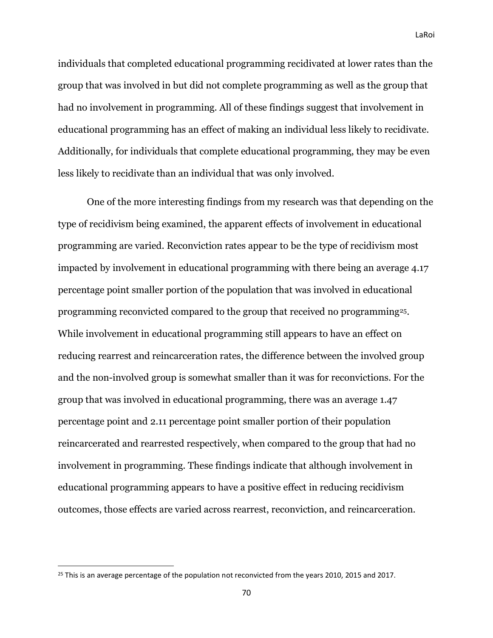individuals that completed educational programming recidivated at lower rates than the group that was involved in but did not complete programming as well as the group that had no involvement in programming. All of these findings suggest that involvement in educational programming has an effect of making an individual less likely to recidivate. Additionally, for individuals that complete educational programming, they may be even less likely to recidivate than an individual that was only involved.

One of the more interesting findings from my research was that depending on the type of recidivism being examined, the apparent effects of involvement in educational programming are varied. Reconviction rates appear to be the type of recidivism most impacted by involvement in educational programming with there being an average 4.17 percentage point smaller portion of the population that was involved in educational programming reconvicted compared to the group that received no programming25. While involvement in educational programming still appears to have an effect on reducing rearrest and reincarceration rates, the difference between the involved group and the non-involved group is somewhat smaller than it was for reconvictions. For the group that was involved in educational programming, there was an average 1.47 percentage point and 2.11 percentage point smaller portion of their population reincarcerated and rearrested respectively, when compared to the group that had no involvement in programming. These findings indicate that although involvement in educational programming appears to have a positive effect in reducing recidivism outcomes, those effects are varied across rearrest, reconviction, and reincarceration.

<sup>&</sup>lt;sup>25</sup> This is an average percentage of the population not reconvicted from the years 2010, 2015 and 2017.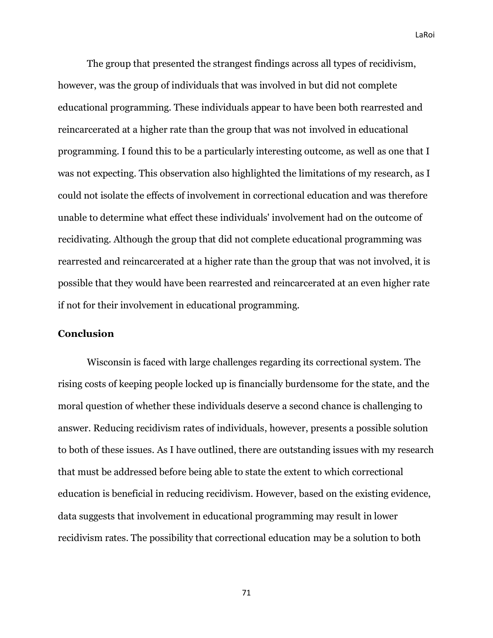The group that presented the strangest findings across all types of recidivism, however, was the group of individuals that was involved in but did not complete educational programming. These individuals appear to have been both rearrested and reincarcerated at a higher rate than the group that was not involved in educational programming. I found this to be a particularly interesting outcome, as well as one that I was not expecting. This observation also highlighted the limitations of my research, as I could not isolate the effects of involvement in correctional education and was therefore unable to determine what effect these individuals' involvement had on the outcome of recidivating. Although the group that did not complete educational programming was rearrested and reincarcerated at a higher rate than the group that was not involved, it is possible that they would have been rearrested and reincarcerated at an even higher rate if not for their involvement in educational programming.

#### **Conclusion**

Wisconsin is faced with large challenges regarding its correctional system. The rising costs of keeping people locked up is financially burdensome for the state, and the moral question of whether these individuals deserve a second chance is challenging to answer. Reducing recidivism rates of individuals, however, presents a possible solution to both of these issues. As I have outlined, there are outstanding issues with my research that must be addressed before being able to state the extent to which correctional education is beneficial in reducing recidivism. However, based on the existing evidence, data suggests that involvement in educational programming may result in lower recidivism rates. The possibility that correctional education may be a solution to both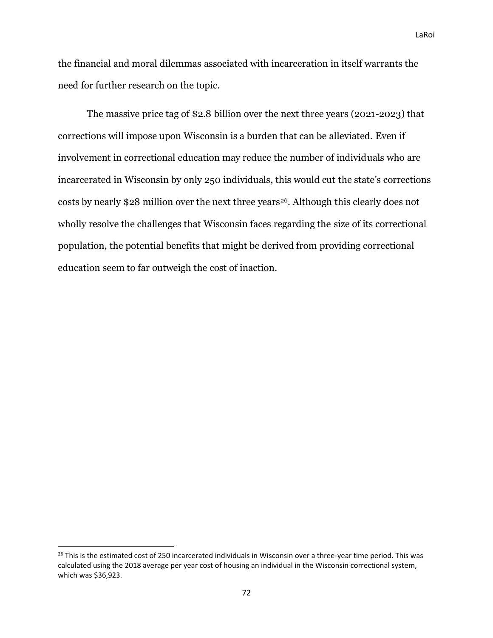the financial and moral dilemmas associated with incarceration in itself warrants the need for further research on the topic.

The massive price tag of \$2.8 billion over the next three years (2021-2023) that corrections will impose upon Wisconsin is a burden that can be alleviated. Even if involvement in correctional education may reduce the number of individuals who are incarcerated in Wisconsin by only 250 individuals, this would cut the state's corrections costs by nearly \$28 million over the next three years<sup>26</sup>. Although this clearly does not wholly resolve the challenges that Wisconsin faces regarding the size of its correctional population, the potential benefits that might be derived from providing correctional education seem to far outweigh the cost of inaction.

<sup>&</sup>lt;sup>26</sup> This is the estimated cost of 250 incarcerated individuals in Wisconsin over a three-year time period. This was calculated using the 2018 average per year cost of housing an individual in the Wisconsin correctional system, which was \$36,923.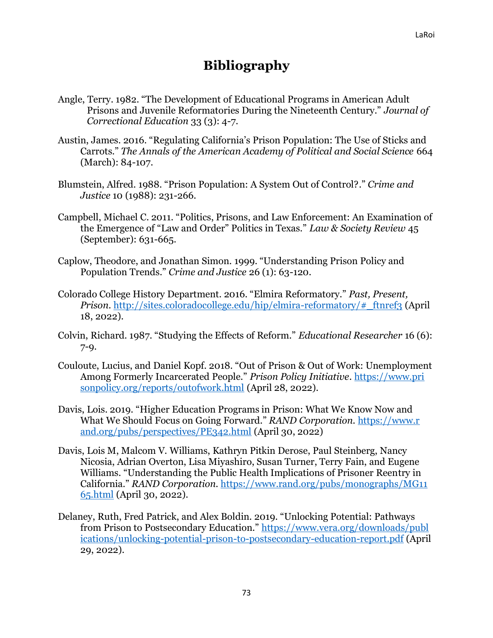## **Bibliography**

- Angle, Terry. 1982. "The Development of Educational Programs in American Adult Prisons and Juvenile Reformatories During the Nineteenth Century." *Journal of Correctional Education* 33 (3): 4-7.
- Austin, James. 2016. "Regulating California's Prison Population: The Use of Sticks and Carrots." *The Annals of the American Academy of Political and Social Science* 664 (March): 84-107.
- Blumstein, Alfred. 1988. "Prison Population: A System Out of Control?." *Crime and Justice* 10 (1988): 231-266.
- Campbell, Michael C. 2011. "Politics, Prisons, and Law Enforcement: An Examination of the Emergence of "Law and Order" Politics in Texas." *Law & Society Review* 45 (September): 631-665.
- Caplow, Theodore, and Jonathan Simon. 1999. "Understanding Prison Policy and Population Trends." *Crime and Justice* 26 (1): 63-120.
- Colorado College History Department. 2016. "Elmira Reformatory." *Past, Present, Prison.* http://sites.coloradocollege.edu/hip/elmira-reformatory/# ftnref3 (April 18, 2022).
- Colvin, Richard. 1987. "Studying the Effects of Reform." *Educational Researcher* 16 (6): 7-9.
- Couloute, Lucius, and Daniel Kopf. 2018. "Out of Prison & Out of Work: Unemployment Among Formerly Incarcerated People." *Prison Policy Initiative*[. https://www.pri](https://www.prisonpolicy.org/reports/outofwork.html) [sonpolicy.org/reports/outofwork.html](https://www.prisonpolicy.org/reports/outofwork.html) (April 28, 2022).
- Davis, Lois. 2019. "Higher Education Programs in Prison: What We Know Now and What We Should Focus on Going Forward." *RAND Corporation.* [https://www.r](https://www.rand.org/pubs/perspectives/PE342.html) [and.org/pubs/perspectives/PE342.html](https://www.rand.org/pubs/perspectives/PE342.html) (April 30, 2022)
- Davis, Lois M, Malcom V. Williams, Kathryn Pitkin Derose, Paul Steinberg, Nancy Nicosia, Adrian Overton, Lisa Miyashiro, Susan Turner, Terry Fain, and Eugene Williams. "Understanding the Public Health Implications of Prisoner Reentry in California." *RAND Corporation.* [https://www.rand.org/pubs/monographs/MG11](https://www.rand.org/pubs/monographs/MG1165.html) [65.html](https://www.rand.org/pubs/monographs/MG1165.html) (April 30, 2022).
- Delaney, Ruth, Fred Patrick, and Alex Boldin. 2019. "Unlocking Potential: Pathways from Prison to Postsecondary Education." [https://www.vera.org/downloads/publ](https://www.vera.org/downloads/publications/unlocking-potential-prison-to-postsecondary-education-report.pdf) [ications/unlocking-potential-prison-to-postsecondary-education-report.pdf](https://www.vera.org/downloads/publications/unlocking-potential-prison-to-postsecondary-education-report.pdf) (April 29, 2022).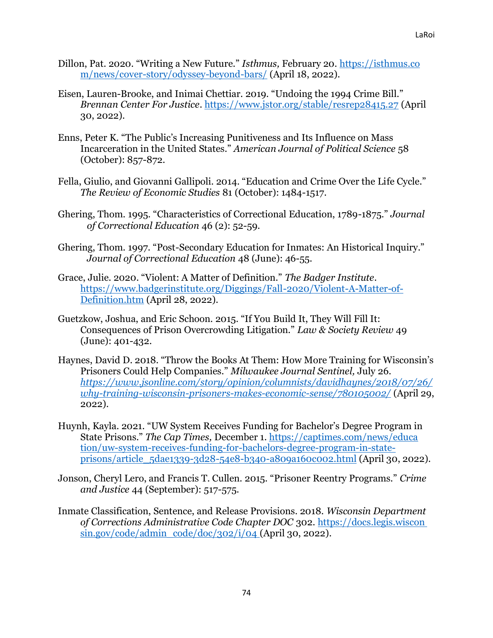- Dillon, Pat. 2020. "Writing a New Future." *Isthmus,* February 20. [https://isthmus.co](https://isthmus.com/news/cover-story/odyssey-beyond-bars/) [m/news/cover-story/odyssey-beyond-bars/](https://isthmus.com/news/cover-story/odyssey-beyond-bars/) (April 18, 2022).
- Eisen, Lauren-Brooke, and Inimai Chettiar. 2019. "Undoing the 1994 Crime Bill." *Brennan Center For Justice*.<https://www.jstor.org/stable/resrep28415.27> (April 30, 2022).
- Enns, Peter K. "The Public's Increasing Punitiveness and Its Influence on Mass Incarceration in the United States." *American Journal of Political Science* 58 (October): 857-872.
- Fella, Giulio, and Giovanni Gallipoli. 2014. "Education and Crime Over the Life Cycle." *The Review of Economic Studies* 81 (October): 1484-1517.
- Ghering, Thom. 1995. "Characteristics of Correctional Education, 1789-1875." *Journal of Correctional Education* 46 (2): 52-59.
- Ghering, Thom. 1997. "Post-Secondary Education for Inmates: An Historical Inquiry." *Journal of Correctional Education* 48 (June): 46-55.
- Grace, Julie. 2020. "Violent: A Matter of Definition." *The Badger Institute*. [https://www.badgerinstitute.org/Diggings/Fall-2020/Violent-A-Matter-of-](https://www.badgerinstitute.org/Diggings/Fall-2020/Violent-A-Matter-of-Definition.htm)[Definition.htm](https://www.badgerinstitute.org/Diggings/Fall-2020/Violent-A-Matter-of-Definition.htm) (April 28, 2022).
- Guetzkow, Joshua, and Eric Schoon. 2015. "If You Build It, They Will Fill It: Consequences of Prison Overcrowding Litigation." *Law & Society Review* 49 (June): 401-432.
- Haynes, David D. 2018. "Throw the Books At Them: How More Training for Wisconsin's Prisoners Could Help Companies." *Milwaukee Journal Sentinel,* July 26. *[https://www.jsonline.com/story/opinion/columnists/davidhaynes/2018/07/26/](https://www.jsonline.com/story/opinion/columnists/david-haynes/2018/07/26/why-training-wisconsin-prisoners-makes-economic-sense/780105002/) [why-training-wisconsin-prisoners-makes-economic-sense/780105002/](https://www.jsonline.com/story/opinion/columnists/david-haynes/2018/07/26/why-training-wisconsin-prisoners-makes-economic-sense/780105002/)* (April 29, 2022).
- Huynh, Kayla. 2021. "UW System Receives Funding for Bachelor's Degree Program in State Prisons." *The Cap Times,* December 1. [https://captimes.com/news/educa](https://captimes.com/news/education/uw-system-receives-funding-for-bachelors-degree-program-in-state-prisons/article_5dae1339-3d28-54e8-b340-a809a160c002.html) [tion/uw-system-receives-funding-for-bachelors-degree-program-in-state](https://captimes.com/news/education/uw-system-receives-funding-for-bachelors-degree-program-in-state-prisons/article_5dae1339-3d28-54e8-b340-a809a160c002.html)[prisons/article\\_5dae1339-3d28-54e8-b340-a809a160c002.html](https://captimes.com/news/education/uw-system-receives-funding-for-bachelors-degree-program-in-state-prisons/article_5dae1339-3d28-54e8-b340-a809a160c002.html) (April 30, 2022).
- Jonson, Cheryl Lero, and Francis T. Cullen. 2015. "Prisoner Reentry Programs." *Crime and Justice* 44 (September): 517-575.
- Inmate Classification, Sentence, and Release Provisions. 2018. *Wisconsin Department of Corrections Administrative Code Chapter DOC* 302. [https://docs.legis.wiscon](https://docs.legis.wiscon sin.gov/code/admin_code/doc/302/i/04)  $\sin(gov/code/admin\ code/doc/302/i/04$  (April 30, 2022).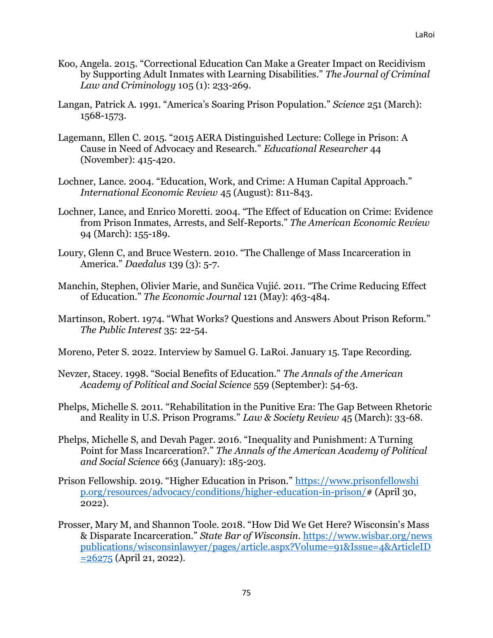- Koo, Angela. 2015. "Correctional Education Can Make a Greater Impact on Recidivism by Supporting Adult Inmates with Learning Disabilities." *The Journal of Criminal Law and Criminology* 105 (1): 233-269.
- Langan, Patrick A. 1991. "America's Soaring Prison Population." *Science* 251 (March): 1568-1573.
- Lagemann, Ellen C. 2015. "2015 AERA Distinguished Lecture: College in Prison: A Cause in Need of Advocacy and Research." *Educational Researcher* 44 (November): 415-420.
- Lochner, Lance. 2004. "Education, Work, and Crime: A Human Capital Approach." *International Economic Review* 45 (August): 811-843.
- Lochner, Lance, and Enrico Moretti. 2004. "The Effect of Education on Crime: Evidence from Prison Inmates, Arrests, and Self-Reports." *The American Economic Review*  94 (March): 155-189.
- Loury, Glenn C, and Bruce Western. 2010. "The Challenge of Mass Incarceration in America." *Daedalus* 139 (3): 5-7.
- Manchin, Stephen, Olivier Marie, and Sunčica Vujić. 2011. "The Crime Reducing Effect of Education." *The Economic Journal* 121 (May): 463-484.
- Martinson, Robert. 1974. "What Works? Questions and Answers About Prison Reform." *The Public Interest* 35: 22-54.
- Moreno, Peter S. 2022. Interview by Samuel G. LaRoi. January 15. Tape Recording.
- Nevzer, Stacey. 1998. "Social Benefits of Education." *The Annals of the American Academy of Political and Social Science* 559 (September): 54-63.
- Phelps, Michelle S. 2011. "Rehabilitation in the Punitive Era: The Gap Between Rhetoric and Reality in U.S. Prison Programs." *Law & Society Review* 45 (March): 33-68.
- Phelps, Michelle S, and Devah Pager. 2016. "Inequality and Punishment: A Turning Point for Mass Incarceration?." *The Annals of the American Academy of Political and Social Science* 663 (January): 185-203.
- Prison Fellowship. 2019. "Higher Education in Prison." [https://www.prisonfellowshi](https://www.prisonfellowship.org/resources/advocacy/conditions/higher-education-in-prison/) [p.org/resources/advocacy/conditions/higher-education-in-prison/#](https://www.prisonfellowship.org/resources/advocacy/conditions/higher-education-in-prison/) (April 30, 2022).
- Prosser, Mary M, and Shannon Toole. 2018. "How Did We Get Here? Wisconsin's Mass & Disparate Incarceration." *State Bar of Wisconsin*. [https://www.wisbar.org/news](https://www.wisbar.org/newspublications/wisconsinlawyer/pages/article.aspx?Volume=91&Issue=4&ArticleID=26275) [publications/wisconsinlawyer/pages/article.aspx?Volume=91&Issue=4&ArticleID](https://www.wisbar.org/newspublications/wisconsinlawyer/pages/article.aspx?Volume=91&Issue=4&ArticleID=26275)  $= 26275$  (April 21, 2022).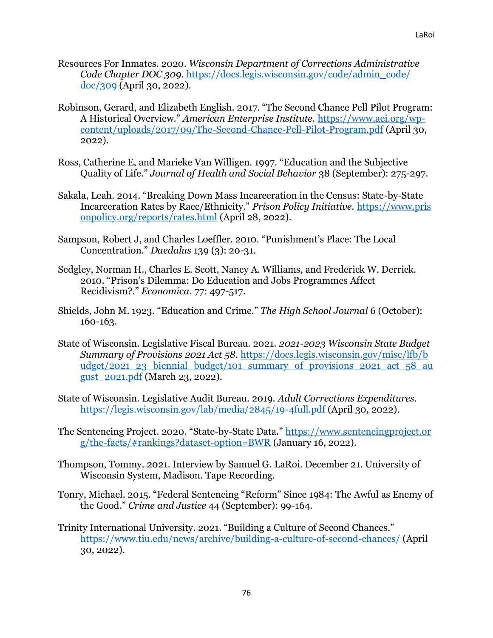- Resources For Inmates. 2020. *Wisconsin Department of Corrections Administrative Code Chapter DOC 309.* [https://docs.legis.wisconsin.gov/code/admin\\_code/](https://docs.legis.wisconsin.gov/code/admin_code/doc/309) [doc/309](https://docs.legis.wisconsin.gov/code/admin_code/doc/309) (April 30, 2022).
- Robinson, Gerard, and Elizabeth English. 2017. "The Second Chance Pell Pilot Program: A Historical Overview." *American Enterprise Institute.* [https://www.aei.org/wp](https://www.aei.org/wp-content/uploads/2017/09/The-Second-Chance-Pell-Pilot-Program.pdf)[content/uploads/2017/09/The-Second-Chance-Pell-Pilot-Program.pdf](https://www.aei.org/wp-content/uploads/2017/09/The-Second-Chance-Pell-Pilot-Program.pdf) (April 30, 2022).
- Ross, Catherine E, and Marieke Van Willigen. 1997. "Education and the Subjective Quality of Life." *Journal of Health and Social Behavior* 38 (September): 275-297.
- Sakala, Leah. 2014. "Breaking Down Mass Incarceration in the Census: State-by-State Incarceration Rates by Race/Ethnicity." *Prison Policy Initiative.* [https://www.pris](https://www.prisonpolicy.org/reports/rates.html) [onpolicy.org/reports/rates.html](https://www.prisonpolicy.org/reports/rates.html) (April 28, 2022).
- Sampson, Robert J, and Charles Loeffler. 2010. "Punishment's Place: The Local Concentration." *Daedalus* 139 (3): 20-31.
- Sedgley, Norman H., Charles E. Scott, Nancy A. Williams, and Frederick W. Derrick. 2010. "Prison's Dilemma: Do Education and Jobs Programmes Affect Recidivism?." *Economica*. 77: 497-517.
- Shields, John M. 1923. "Education and Crime." *The High School Journal* 6 (October): 160-163.
- State of Wisconsin. Legislative Fiscal Bureau. 2021. *2021-2023 Wisconsin State Budget Summary of Provisions 2021 Act 58*. [https://docs.legis.wisconsin.gov/misc/lfb/b](https://docs.legis.wisconsin.gov/misc/lfb/budget/2021_23_biennial_budget/101_summary_of_provisions_2021_act_58_august_2021.pdf) [udget/2021\\_23\\_biennial\\_budget/101\\_summary\\_of\\_provisions\\_2021\\_act\\_58\\_au](https://docs.legis.wisconsin.gov/misc/lfb/budget/2021_23_biennial_budget/101_summary_of_provisions_2021_act_58_august_2021.pdf) [gust\\_2021.pdf](https://docs.legis.wisconsin.gov/misc/lfb/budget/2021_23_biennial_budget/101_summary_of_provisions_2021_act_58_august_2021.pdf) (March 23, 2022).
- State of Wisconsin. Legislative Audit Bureau. 2019. *Adult Corrections Expenditures.*  <https://legis.wisconsin.gov/lab/media/2845/19-4full.pdf> (April 30, 2022).
- The Sentencing Project. 2020. "State-by-State Data." [https://www.sentencingproject.or](https://www.sentencingproject.org/the-facts/#rankings?dataset-option=BWR) [g/the-facts/#rankings?dataset-option=BWR](https://www.sentencingproject.org/the-facts/#rankings?dataset-option=BWR) (January 16, 2022).
- Thompson, Tommy. 2021. Interview by Samuel G. LaRoi. December 21. University of Wisconsin System, Madison. Tape Recording.
- Tonry, Michael. 2015. "Federal Sentencing "Reform" Since 1984: The Awful as Enemy of the Good." *Crime and Justice* 44 (September): 99-164.
- Trinity International University. 2021. "Building a Culture of Second Chances." <https://www.tiu.edu/news/archive/building-a-culture-of-second-chances/> (April 30, 2022).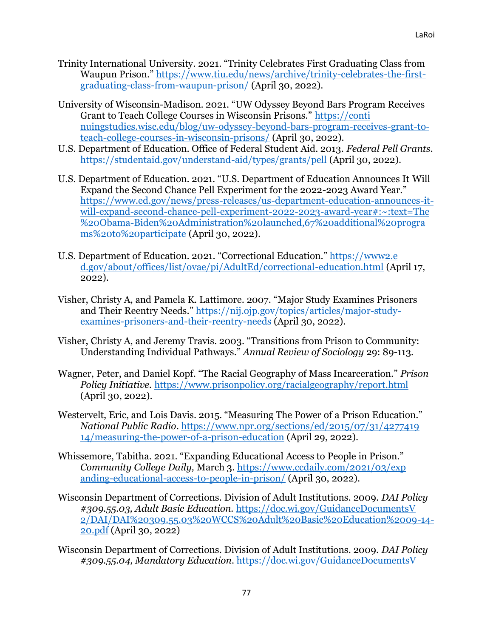- Trinity International University. 2021. "Trinity Celebrates First Graduating Class from Waupun Prison." [https://www.tiu.edu/news/archive/trinity-celebrates-the-first](https://www.tiu.edu/news/archive/trinity-celebrates-the-first-graduating-class-from-waupun-prison/)[graduating-class-from-waupun-prison/](https://www.tiu.edu/news/archive/trinity-celebrates-the-first-graduating-class-from-waupun-prison/) (April 30, 2022).
- University of Wisconsin-Madison. 2021. "UW Odyssey Beyond Bars Program Receives Grant to Teach College Courses in Wisconsin Prisons." [https://conti](https://continuingstudies.wisc.edu/blog/uw-odyssey-beyond-bars-program-receives-grant-to-teach-college-courses-in-wisconsin-prisons/) [nuingstudies.wisc.edu/blog/uw-odyssey-beyond-bars-program-receives-grant-to](https://continuingstudies.wisc.edu/blog/uw-odyssey-beyond-bars-program-receives-grant-to-teach-college-courses-in-wisconsin-prisons/)[teach-college-courses-in-wisconsin-prisons/](https://continuingstudies.wisc.edu/blog/uw-odyssey-beyond-bars-program-receives-grant-to-teach-college-courses-in-wisconsin-prisons/) (April 30, 2022).
- U.S. Department of Education. Office of Federal Student Aid. 2013. *Federal Pell Grants.*  <https://studentaid.gov/understand-aid/types/grants/pell> (April 30, 2022).
- U.S. Department of Education. 2021. "U.S. Department of Education Announces It Will Expand the Second Chance Pell Experiment for the 2022-2023 Award Year." [https://www.ed.gov/news/press-releases/us-department-education-announces-it](https://www.ed.gov/news/press-releases/us-department-education-announces-it-will-expand-second-chance-pell-experiment-2022-2023-award-year#:~:text=The%20Obama-Biden%20Administration%20launched,67%20additional%20programs%20to%20participate)[will-expand-second-chance-pell-experiment-2022-2023-award-year#:~:text=The](https://www.ed.gov/news/press-releases/us-department-education-announces-it-will-expand-second-chance-pell-experiment-2022-2023-award-year#:~:text=The%20Obama-Biden%20Administration%20launched,67%20additional%20programs%20to%20participate) [%20Obama-Biden%20Administration%20launched,67%20additional%20progra](https://www.ed.gov/news/press-releases/us-department-education-announces-it-will-expand-second-chance-pell-experiment-2022-2023-award-year#:~:text=The%20Obama-Biden%20Administration%20launched,67%20additional%20programs%20to%20participate) [ms%20to%20participate](https://www.ed.gov/news/press-releases/us-department-education-announces-it-will-expand-second-chance-pell-experiment-2022-2023-award-year#:~:text=The%20Obama-Biden%20Administration%20launched,67%20additional%20programs%20to%20participate) (April 30, 2022).
- U.S. Department of Education. 2021. "Correctional Education." [https://www2.e](https://www2.ed.gov/about/offices/list/ovae/pi/AdultEd/correctional-education.html) [d.gov/about/offices/list/ovae/pi/AdultEd/correctional-education.html](https://www2.ed.gov/about/offices/list/ovae/pi/AdultEd/correctional-education.html) (April 17, 2022).
- Visher, Christy A, and Pamela K. Lattimore. 2007. "Major Study Examines Prisoners and Their Reentry Needs." [https://nij.ojp.gov/topics/articles/major-study](https://nij.ojp.gov/topics/articles/major-study-examines-prisoners-and-their-reentry-needs)[examines-prisoners-and-their-reentry-needs](https://nij.ojp.gov/topics/articles/major-study-examines-prisoners-and-their-reentry-needs) (April 30, 2022).
- Visher, Christy A, and Jeremy Travis. 2003. "Transitions from Prison to Community: Understanding Individual Pathways." *Annual Review of Sociology* 29: 89-113.
- Wagner, Peter, and Daniel Kopf. "The Racial Geography of Mass Incarceration." *Prison Policy Initiative.* <https://www.prisonpolicy.org/racialgeography/report.html> (April 30, 2022).
- Westervelt, Eric, and Lois Davis. 2015. "Measuring The Power of a Prison Education." *National Public Radio*. [https://www.npr.org/sections/ed/2015/07/31/4277419](https://www.npr.org/sections/ed/2015/07/31/427741914/measuring-the-power-of-a-prison-education) [14/measuring-the-power-of-a-prison-education](https://www.npr.org/sections/ed/2015/07/31/427741914/measuring-the-power-of-a-prison-education) (April 29, 2022).
- Whissemore, Tabitha. 2021. "Expanding Educational Access to People in Prison." *Community College Daily,* March 3. [https://www.ccdaily.com/2021/03/exp](https://www.ccdaily.com/2021/03/expanding-educational-access-to-people-in-prison/) [anding-educational-access-to-people-in-prison/](https://www.ccdaily.com/2021/03/expanding-educational-access-to-people-in-prison/) (April 30, 2022).
- Wisconsin Department of Corrections. Division of Adult Institutions. 2009. *DAI Policy #309.55.03, Adult Basic Education.* [https://doc.wi.gov/GuidanceDocumentsV](https://doc.wi.gov/GuidanceDocumentsV2/DAI/DAI%20309.55.03%20WCCS%20Adult%20Basic%20Education%2009-14-20.pdf) [2/DAI/DAI%20309.55.03%20WCCS%20Adult%20Basic%20Education%2009-14-](https://doc.wi.gov/GuidanceDocumentsV2/DAI/DAI%20309.55.03%20WCCS%20Adult%20Basic%20Education%2009-14-20.pdf) [20.pdf](https://doc.wi.gov/GuidanceDocumentsV2/DAI/DAI%20309.55.03%20WCCS%20Adult%20Basic%20Education%2009-14-20.pdf) (April 30, 2022)
- Wisconsin Department of Corrections. Division of Adult Institutions. 2009. *DAI Policy #309.55.04, Mandatory Education*[. https://doc.wi.gov/GuidanceDocumentsV](https://doc.wi.gov/GuidanceDocumentsV2/DAI/certDAI%20309.55.04%20RGCI%20Mandatory%20Education%2003-25-19,%2006-22-20.pdf)